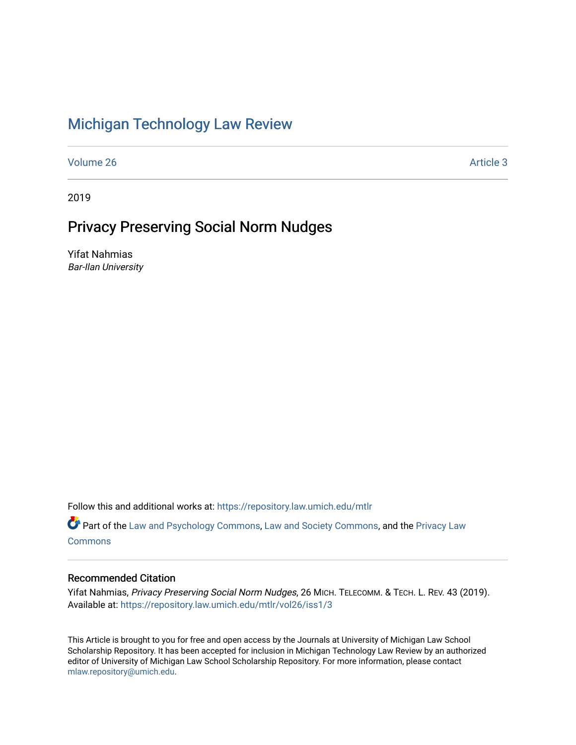# [Michigan Technology Law Review](https://repository.law.umich.edu/mtlr)

[Volume 26](https://repository.law.umich.edu/mtlr/vol26) Article 3

2019

# Privacy Preserving Social Norm Nudges

Yifat Nahmias Bar-Ilan University

Follow this and additional works at: [https://repository.law.umich.edu/mtlr](https://repository.law.umich.edu/mtlr?utm_source=repository.law.umich.edu%2Fmtlr%2Fvol26%2Fiss1%2F3&utm_medium=PDF&utm_campaign=PDFCoverPages) 

Part of the [Law and Psychology Commons,](http://network.bepress.com/hgg/discipline/870?utm_source=repository.law.umich.edu%2Fmtlr%2Fvol26%2Fiss1%2F3&utm_medium=PDF&utm_campaign=PDFCoverPages) [Law and Society Commons](http://network.bepress.com/hgg/discipline/853?utm_source=repository.law.umich.edu%2Fmtlr%2Fvol26%2Fiss1%2F3&utm_medium=PDF&utm_campaign=PDFCoverPages), and the [Privacy Law](http://network.bepress.com/hgg/discipline/1234?utm_source=repository.law.umich.edu%2Fmtlr%2Fvol26%2Fiss1%2F3&utm_medium=PDF&utm_campaign=PDFCoverPages) [Commons](http://network.bepress.com/hgg/discipline/1234?utm_source=repository.law.umich.edu%2Fmtlr%2Fvol26%2Fiss1%2F3&utm_medium=PDF&utm_campaign=PDFCoverPages)

# Recommended Citation

Yifat Nahmias, Privacy Preserving Social Norm Nudges, 26 MICH. TELECOMM. & TECH. L. REV. 43 (2019). Available at: [https://repository.law.umich.edu/mtlr/vol26/iss1/3](https://repository.law.umich.edu/mtlr/vol26/iss1/3?utm_source=repository.law.umich.edu%2Fmtlr%2Fvol26%2Fiss1%2F3&utm_medium=PDF&utm_campaign=PDFCoverPages) 

This Article is brought to you for free and open access by the Journals at University of Michigan Law School Scholarship Repository. It has been accepted for inclusion in Michigan Technology Law Review by an authorized editor of University of Michigan Law School Scholarship Repository. For more information, please contact [mlaw.repository@umich.edu.](mailto:mlaw.repository@umich.edu)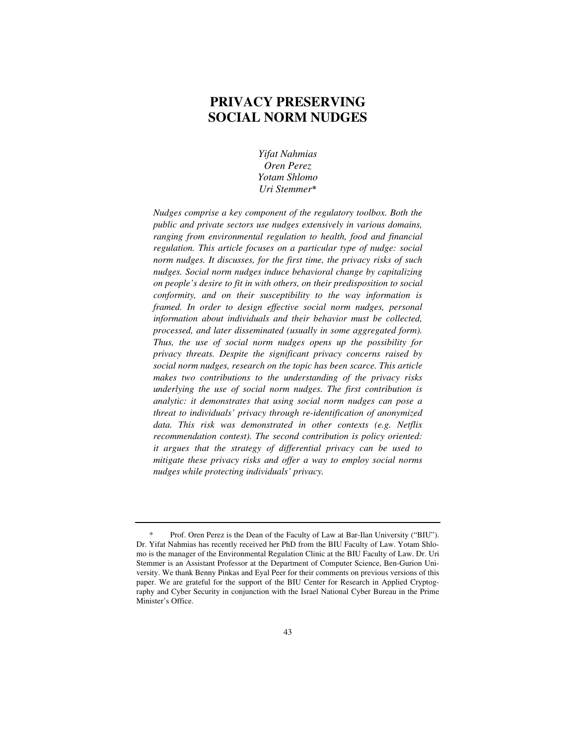# **PRIVACY PRESERVING SOCIAL NORM NUDGES**

*Yifat Nahmias Oren Perez Yotam Shlomo Uri Stemmer*\*

*Nudges comprise a key component of the regulatory toolbox. Both the public and private sectors use nudges extensively in various domains, ranging from environmental regulation to health, food and financial regulation. This article focuses on a particular type of nudge: social norm nudges. It discusses, for the first time, the privacy risks of such nudges. Social norm nudges induce behavioral change by capitalizing on people's desire to fit in with others, on their predisposition to social conformity, and on their susceptibility to the way information is framed. In order to design effective social norm nudges, personal information about individuals and their behavior must be collected, processed, and later disseminated (usually in some aggregated form). Thus, the use of social norm nudges opens up the possibility for privacy threats. Despite the significant privacy concerns raised by social norm nudges, research on the topic has been scarce. This article makes two contributions to the understanding of the privacy risks underlying the use of social norm nudges. The first contribution is analytic: it demonstrates that using social norm nudges can pose a threat to individuals' privacy through re-identification of anonymized data. This risk was demonstrated in other contexts (e.g. Netflix recommendation contest). The second contribution is policy oriented: it argues that the strategy of differential privacy can be used to mitigate these privacy risks and offer a way to employ social norms nudges while protecting individuals' privacy.*

Prof. Oren Perez is the Dean of the Faculty of Law at Bar-Ilan University ("BIU"). Dr. Yifat Nahmias has recently received her PhD from the BIU Faculty of Law. Yotam Shlomo is the manager of the Environmental Regulation Clinic at the BIU Faculty of Law. Dr. Uri Stemmer is an Assistant Professor at the Department of Computer Science, Ben-Gurion University. We thank Benny Pinkas and Eyal Peer for their comments on previous versions of this paper. We are grateful for the support of the BIU Center for Research in Applied Cryptography and Cyber Security in conjunction with the Israel National Cyber Bureau in the Prime Minister's Office.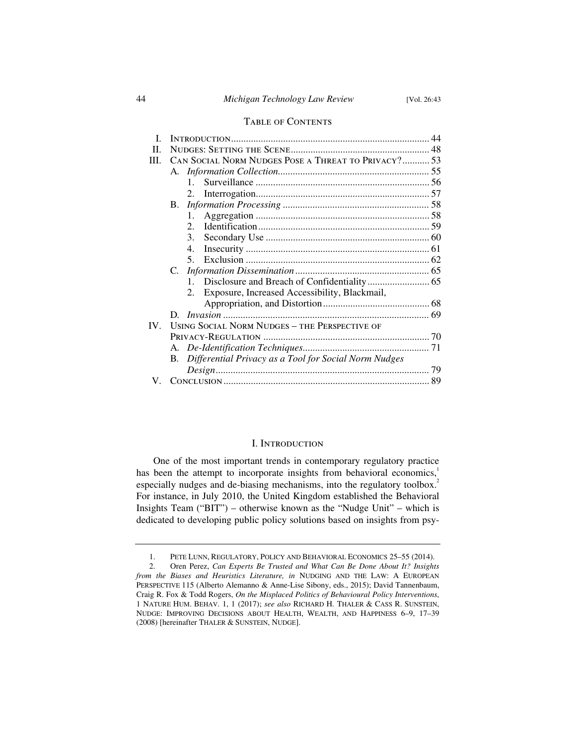#### Table of Contents

|               |                                                             | 44 |
|---------------|-------------------------------------------------------------|----|
| H             |                                                             |    |
| III.          | CAN SOCIAL NORM NUDGES POSE A THREAT TO PRIVACY? 53         |    |
|               |                                                             |    |
|               | $\mathbf{1}$                                                |    |
|               | 2.                                                          |    |
|               | B.                                                          |    |
|               | 1.                                                          |    |
|               | $\mathcal{D}$                                               |    |
|               | 3.                                                          |    |
|               | $4_{\cdot}$                                                 |    |
|               | 5.                                                          |    |
|               | C.                                                          |    |
|               |                                                             |    |
|               | Exposure, Increased Accessibility, Blackmail,<br>2.         |    |
|               |                                                             |    |
|               |                                                             |    |
| $\mathbf{IV}$ | USING SOCIAL NORM NUDGES - THE PERSPECTIVE OF               |    |
|               |                                                             |    |
|               |                                                             |    |
|               | Differential Privacy as a Tool for Social Norm Nudges<br>В. |    |
|               |                                                             |    |
|               |                                                             |    |
|               |                                                             |    |

#### I. Introduction

One of the most important trends in contemporary regulatory practice has been the attempt to incorporate insights from behavioral economics,<sup>1</sup> especially nudges and de-biasing mechanisms, into the regulatory toolbox.<sup>2</sup> For instance, in July 2010, the United Kingdom established the Behavioral Insights Team ("BIT") – otherwise known as the "Nudge Unit" – which is dedicated to developing public policy solutions based on insights from psy-

 <sup>1.</sup> PETE LUNN, REGULATORY, POLICY AND BEHAVIORAL ECONOMICS 25–55 (2014).

 <sup>2.</sup> Oren Perez, *Can Experts Be Trusted and What Can Be Done About It? Insights from the Biases and Heuristics Literature, in NUDGING AND THE LAW: A EUROPEAN* PERSPECTIVE 115 (Alberto Alemanno & Anne-Lise Sibony, eds., 2015); David Tannenbaum, Craig R. Fox & Todd Rogers, *On the Misplaced Politics of Behavioural Policy Interventions*, 1 NATURE HUM. BEHAV. 1, 1 (2017); *see also* RICHARD H. THALER & CASS R. SUNSTEIN, NUDGE: IMPROVING DECISIONS ABOUT HEALTH, WEALTH, AND HAPPINESS 6–9, 17–39 (2008) [hereinafter THALER & SUNSTEIN, NUDGE].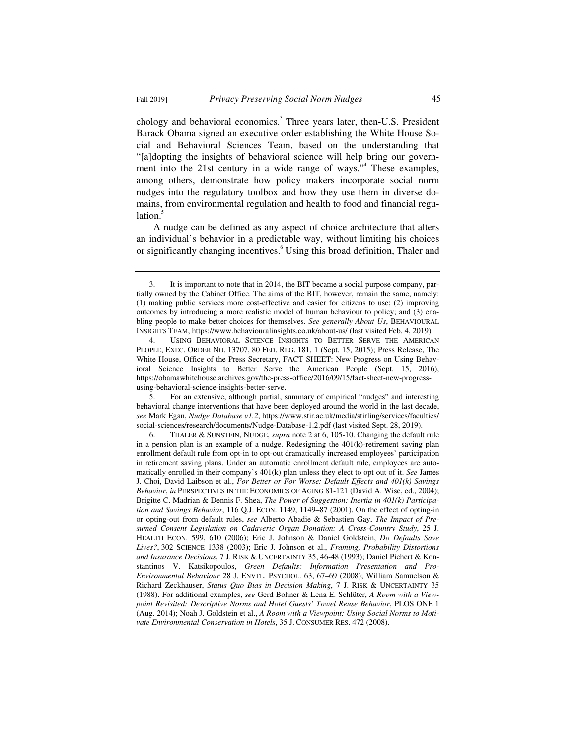chology and behavioral economics.<sup>3</sup> Three years later, then-U.S. President Barack Obama signed an executive order establishing the White House Social and Behavioral Sciences Team, based on the understanding that "[a]dopting the insights of behavioral science will help bring our government into the 21st century in a wide range of ways."<sup>4</sup> These examples, among others, demonstrate how policy makers incorporate social norm nudges into the regulatory toolbox and how they use them in diverse domains, from environmental regulation and health to food and financial regulation.<sup>5</sup>

A nudge can be defined as any aspect of choice architecture that alters an individual's behavior in a predictable way, without limiting his choices or significantly changing incentives.<sup>6</sup> Using this broad definition, Thaler and

 5. For an extensive, although partial, summary of empirical "nudges" and interesting behavioral change interventions that have been deployed around the world in the last decade, *see* Mark Egan, *Nudge Database v1.2*, https://www.stir.ac.uk/media/stirling/services/faculties/ social-sciences/research/documents/Nudge-Database-1.2.pdf (last visited Sept. 28, 2019).

 6. THALER & SUNSTEIN, NUDGE, *supra* note 2 at 6, 105-10. Changing the default rule in a pension plan is an example of a nudge. Redesigning the 401(k)-retirement saving plan enrollment default rule from opt-in to opt-out dramatically increased employees' participation in retirement saving plans. Under an automatic enrollment default rule, employees are automatically enrolled in their company's 401(k) plan unless they elect to opt out of it. *See* James J. Choi, David Laibson et al., *For Better or For Worse: Default Effects and 401(k) Savings Behavior*, *in* PERSPECTIVES IN THE ECONOMICS OF AGING 81-121 (David A. Wise, ed., 2004); Brigitte C. Madrian & Dennis F. Shea, *The Power of Suggestion: Inertia in 401(k) Participation and Savings Behavior*, 116 Q.J. ECON. 1149, 1149–87 (2001). On the effect of opting-in or opting-out from default rules, *see* Alberto Abadie & Sebastien Gay, *The Impact of Presumed Consent Legislation on Cadaveric Organ Donation: A Cross-Country Study*, 25 J. HEALTH ECON. 599, 610 (2006); Eric J. Johnson & Daniel Goldstein, *Do Defaults Save Lives?*, 302 SCIENCE 1338 (2003); Eric J. Johnson et al., *Framing, Probability Distortions and Insurance Decisions*, 7 J. RISK & UNCERTAINTY 35, 46-48 (1993); Daniel Pichert & Konstantinos V. Katsikopoulos, *Green Defaults: Information Presentation and Pro-Environmental Behaviour* 28 J. ENVTL. PSYCHOL. 63, 67–69 (2008); William Samuelson & Richard Zeckhauser, *Status Quo Bias in Decision Making*, 7 J. RISK & UNCERTAINTY 35 (1988). For additional examples, *see* Gerd Bohner & Lena E. Schlüter, *A Room with a Viewpoint Revisited: Descriptive Norms and Hotel Guests' Towel Reuse Behavior*, PLOS ONE 1 (Aug. 2014); Noah J. Goldstein et al., *A Room with a Viewpoint: Using Social Norms to Motivate Environmental Conservation in Hotels*, 35 J. CONSUMER RES. 472 (2008).

 <sup>3.</sup> It is important to note that in 2014, the BIT became a social purpose company, partially owned by the Cabinet Office. The aims of the BIT, however, remain the same, namely: (1) making public services more cost-effective and easier for citizens to use; (2) improving outcomes by introducing a more realistic model of human behaviour to policy; and (3) enabling people to make better choices for themselves. *See generally About Us*, BEHAVIOURAL INSIGHTS TEAM, https://www.behaviouralinsights.co.uk/about-us/ (last visited Feb. 4, 2019).

 <sup>4.</sup> USING BEHAVIORAL SCIENCE INSIGHTS TO BETTER SERVE THE AMERICAN PEOPLE, EXEC. ORDER NO. 13707, 80 FED. REG. 181, 1 (Sept. 15, 2015); Press Release, The White House, Office of the Press Secretary, FACT SHEET: New Progress on Using Behavioral Science Insights to Better Serve the American People (Sept. 15, 2016), https://obamawhitehouse.archives.gov/the-press-office/2016/09/15/fact-sheet-new-progressusing-behavioral-science-insights-better-serve.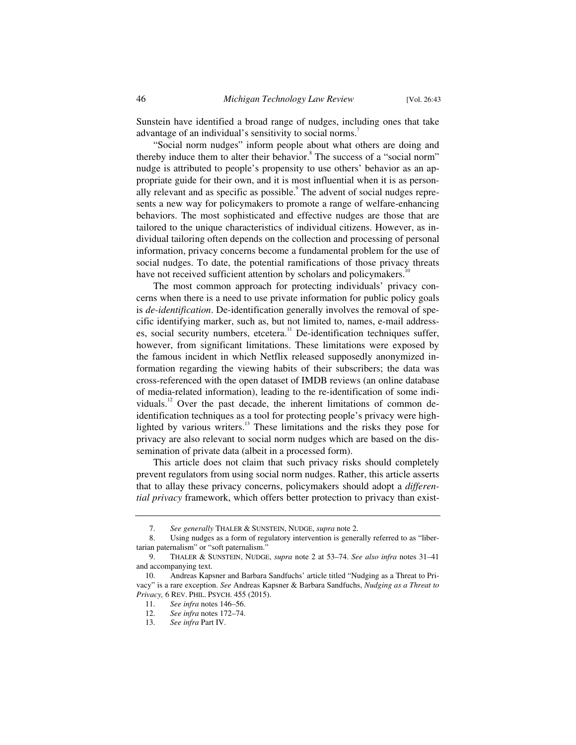Sunstein have identified a broad range of nudges, including ones that take advantage of an individual's sensitivity to social norms.<sup>7</sup>

"Social norm nudges" inform people about what others are doing and thereby induce them to alter their behavior.<sup>8</sup> The success of a "social norm" nudge is attributed to people's propensity to use others' behavior as an appropriate guide for their own, and it is most influential when it is as personally relevant and as specific as possible.<sup>9</sup> The advent of social nudges represents a new way for policymakers to promote a range of welfare-enhancing behaviors. The most sophisticated and effective nudges are those that are tailored to the unique characteristics of individual citizens. However, as individual tailoring often depends on the collection and processing of personal information, privacy concerns become a fundamental problem for the use of social nudges. To date, the potential ramifications of those privacy threats have not received sufficient attention by scholars and policymakers.<sup>11</sup>

The most common approach for protecting individuals' privacy concerns when there is a need to use private information for public policy goals is *de-identification*. De-identification generally involves the removal of specific identifying marker, such as, but not limited to, names, e-mail addresses, social security numbers, etcetera.<sup>11</sup> De-identification techniques suffer, however, from significant limitations. These limitations were exposed by the famous incident in which Netflix released supposedly anonymized information regarding the viewing habits of their subscribers; the data was cross-referenced with the open dataset of IMDB reviews (an online database of media-related information), leading to the re-identification of some individuals.<sup>12</sup> Over the past decade, the inherent limitations of common deidentification techniques as a tool for protecting people's privacy were highlighted by various writers.<sup>13</sup> These limitations and the risks they pose for privacy are also relevant to social norm nudges which are based on the dissemination of private data (albeit in a processed form).

This article does not claim that such privacy risks should completely prevent regulators from using social norm nudges. Rather, this article asserts that to allay these privacy concerns, policymakers should adopt a *differential privacy* framework, which offers better protection to privacy than exist-

 <sup>7.</sup> *See generally* THALER & SUNSTEIN, NUDGE, *supra* note 2.

 <sup>8.</sup> Using nudges as a form of regulatory intervention is generally referred to as "libertarian paternalism" or "soft paternalism."

 <sup>9.</sup> THALER & SUNSTEIN, NUDGE, *supra* note 2 at 53–74. *See also infra* notes 31–41 and accompanying text.

 <sup>10.</sup> Andreas Kapsner and Barbara Sandfuchs' article titled "Nudging as a Threat to Privacy" is a rare exception. *See* Andreas Kapsner & Barbara Sandfuchs, *Nudging as a Threat to Privacy,* 6 REV. PHIL. PSYCH. 455 (2015).

 <sup>11.</sup> *See infra* notes 146–56.

 <sup>12.</sup> *See infra* notes 172–74.

 <sup>13.</sup> *See infra* Part IV.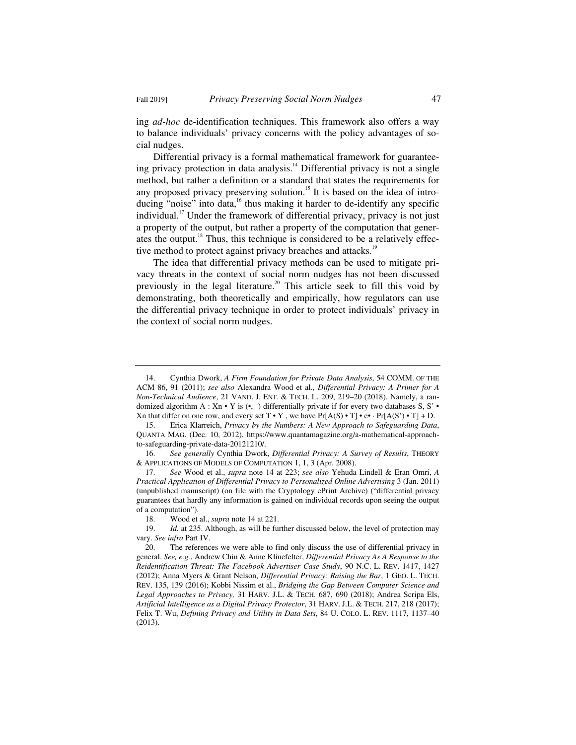ing *ad-hoc* de-identification techniques. This framework also offers a way to balance individuals' privacy concerns with the policy advantages of social nudges.

Differential privacy is a formal mathematical framework for guaranteeing privacy protection in data analysis.<sup>14</sup> Differential privacy is not a single method, but rather a definition or a standard that states the requirements for any proposed privacy preserving solution.<sup>15</sup> It is based on the idea of introducing "noise" into data,<sup>16</sup> thus making it harder to de-identify any specific individual.<sup>17</sup> Under the framework of differential privacy, privacy is not just a property of the output, but rather a property of the computation that generates the output.<sup>18</sup> Thus, this technique is considered to be a relatively effective method to protect against privacy breaches and attacks.<sup>19</sup>

The idea that differential privacy methods can be used to mitigate privacy threats in the context of social norm nudges has not been discussed previously in the legal literature.<sup>20</sup> This article seek to fill this void by demonstrating, both theoretically and empirically, how regulators can use the differential privacy technique in order to protect individuals' privacy in the context of social norm nudges.

 <sup>14.</sup> Cynthia Dwork, *A Firm Foundation for Private Data Analysis*, 54 COMM. OF THE ACM 86, 91 (2011); *see also* Alexandra Wood et al., *Differential Privacy: A Primer for A Non-Technical Audience*, 21 VAND. J. ENT.&TECH. L. 209, 219–20 (2018). Namely, a randomized algorithm A : Xn • Y is  $(•, )$  differentially private if for every two databases S, S' Xn that differ on one row, and every set  $T \cdot Y$ , we have  $Pr[A(S) \cdot T] \cdot e \cdot Pr[A(S') \cdot T] + D$ .

 <sup>15.</sup> Erica Klarreich, *Privacy by the Numbers: A New Approach to Safeguarding Data*, QUANTA MAG. (Dec. 10, 2012), https://www.quantamagazine.org/a-mathematical-approachto-safeguarding-private-data-20121210/.

 <sup>16.</sup> *See generally* Cynthia Dwork, *Differential Privacy: A Survey of Results*, THEORY & APPLICATIONS OF MODELS OF COMPUTATION 1, 1, 3 (Apr. 2008).

 <sup>17.</sup> *See* Wood et al., *supra* note 14 at 223; *see also* Yehuda Lindell & Eran Omri, *A Practical Application of Differential Privacy to Personalized Online Advertising* 3 (Jan. 2011) (unpublished manuscript) (on file with the Cryptology ePrint Archive) ("differential privacy guarantees that hardly any information is gained on individual records upon seeing the output of a computation").

 <sup>18.</sup> Wood et al., *supra* note 14 at 221.

 <sup>19.</sup> *Id.* at 235. Although, as will be further discussed below, the level of protection may vary. *See infra* Part IV.

 <sup>20.</sup> The references we were able to find only discuss the use of differential privacy in general. *See, e.g.*, Andrew Chin & Anne Klinefelter, *Differential Privacy As A Response to the Reidentification Threat: The Facebook Advertiser Case Study*, 90 N.C. L. REV. 1417, 1427 (2012); Anna Myers & Grant Nelson, *Differential Privacy: Raising the Bar*, 1 GEO. L. TECH. REV. 135, 139 (2016); Kobbi Nissim et al., *Bridging the Gap Between Computer Science and Legal Approaches to Privacy,* 31 HARV. J.L. & TECH. 687, 690 (2018); Andrea Scripa Els, *Artificial Intelligence as a Digital Privacy Protector*, 31 HARV. J.L. & TECH. 217, 218 (2017); Felix T. Wu, *Defining Privacy and Utility in Data Sets*, 84 U. COLO. L. REV. 1117, 1137–40 (2013).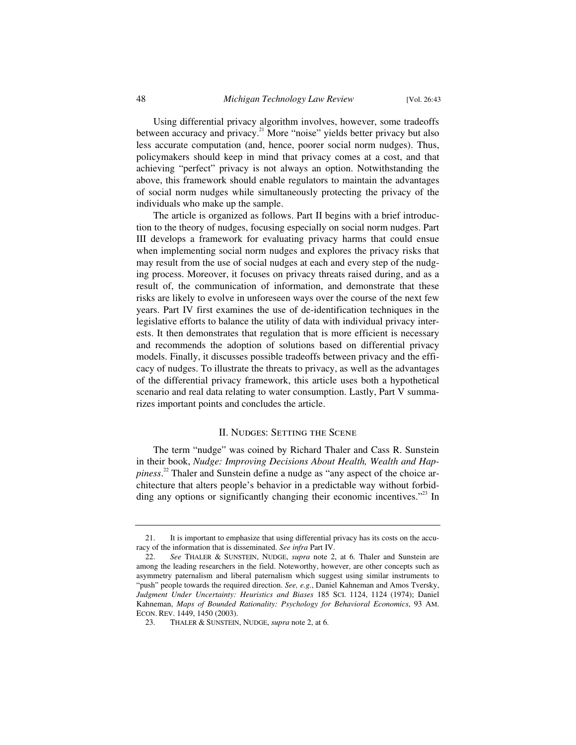Using differential privacy algorithm involves, however, some tradeoffs between accuracy and privacy.<sup>21</sup> More "noise" yields better privacy but also less accurate computation (and, hence, poorer social norm nudges). Thus, policymakers should keep in mind that privacy comes at a cost, and that achieving "perfect" privacy is not always an option. Notwithstanding the above, this framework should enable regulators to maintain the advantages of social norm nudges while simultaneously protecting the privacy of the individuals who make up the sample.

The article is organized as follows. Part II begins with a brief introduction to the theory of nudges, focusing especially on social norm nudges. Part III develops a framework for evaluating privacy harms that could ensue when implementing social norm nudges and explores the privacy risks that may result from the use of social nudges at each and every step of the nudging process. Moreover, it focuses on privacy threats raised during, and as a result of, the communication of information, and demonstrate that these risks are likely to evolve in unforeseen ways over the course of the next few years. Part IV first examines the use of de-identification techniques in the legislative efforts to balance the utility of data with individual privacy interests. It then demonstrates that regulation that is more efficient is necessary and recommends the adoption of solutions based on differential privacy models. Finally, it discusses possible tradeoffs between privacy and the efficacy of nudges. To illustrate the threats to privacy, as well as the advantages of the differential privacy framework, this article uses both a hypothetical scenario and real data relating to water consumption. Lastly, Part V summarizes important points and concludes the article.

#### II. NUDGES: SETTING THE SCENE

The term "nudge" was coined by Richard Thaler and Cass R. Sunstein in their book, *Nudge: Improving Decisions About Health, Wealth and Happiness*. 22 Thaler and Sunstein define a nudge as "any aspect of the choice architecture that alters people's behavior in a predictable way without forbidding any options or significantly changing their economic incentives."<sup>23</sup> In

 <sup>21.</sup> It is important to emphasize that using differential privacy has its costs on the accuracy of the information that is disseminated. *See infra* Part IV.

 <sup>22.</sup> *See* THALER & SUNSTEIN, NUDGE, *supra* note 2, at 6*.* Thaler and Sunstein are among the leading researchers in the field. Noteworthy, however, are other concepts such as asymmetry paternalism and liberal paternalism which suggest using similar instruments to "push" people towards the required direction. *See, e.g.*, Daniel Kahneman and Amos Tversky, *Judgment Under Uncertainty: Heuristics and Biases* 185 SCI. 1124, 1124 (1974); Daniel Kahneman, *Maps of Bounded Rationality: Psychology for Behavioral Economics*, 93 AM. ECON. REV. 1449, 1450 (2003).

 <sup>23.</sup> THALER & SUNSTEIN, NUDGE, *supra* note 2, at 6.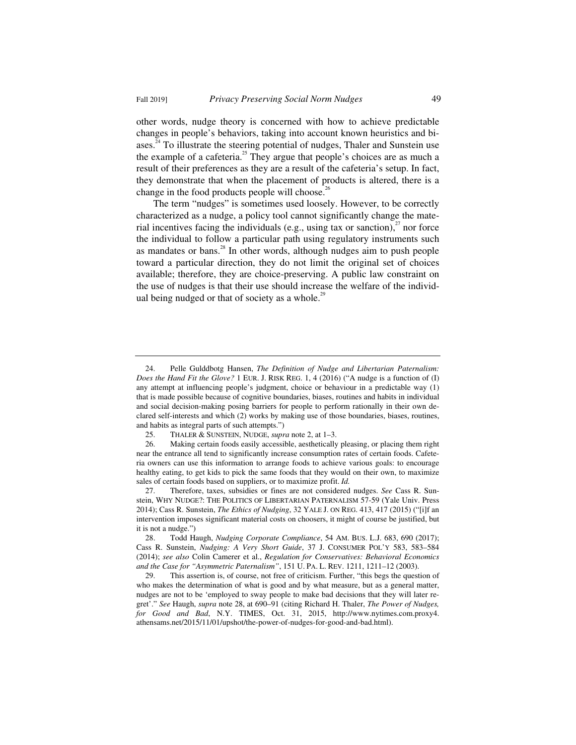other words, nudge theory is concerned with how to achieve predictable changes in people's behaviors, taking into account known heuristics and biases.<sup>24</sup> To illustrate the steering potential of nudges, Thaler and Sunstein use the example of a cafeteria.<sup>25</sup> They argue that people's choices are as much a result of their preferences as they are a result of the cafeteria's setup. In fact, they demonstrate that when the placement of products is altered, there is a change in the food products people will choose.<sup>26</sup>

The term "nudges" is sometimes used loosely. However, to be correctly characterized as a nudge, a policy tool cannot significantly change the material incentives facing the individuals (e.g., using tax or sanction), $^{27}$  nor force the individual to follow a particular path using regulatory instruments such as mandates or bans. $^{28}$  In other words, although nudges aim to push people toward a particular direction, they do not limit the original set of choices available; therefore, they are choice-preserving. A public law constraint on the use of nudges is that their use should increase the welfare of the individual being nudged or that of society as a whole. $^{29}$ 

 <sup>24.</sup> Pelle Gulddbotg Hansen, *The Definition of Nudge and Libertarian Paternalism: Does the Hand Fit the Glove?* 1 EUR. J. RISK REG. 1, 4 (2016) ("A nudge is a function of (I) any attempt at influencing people's judgment, choice or behaviour in a predictable way (1) that is made possible because of cognitive boundaries, biases, routines and habits in individual and social decision-making posing barriers for people to perform rationally in their own declared self-interests and which (2) works by making use of those boundaries, biases, routines, and habits as integral parts of such attempts.")

 <sup>25.</sup> THALER & SUNSTEIN, NUDGE, *supra* note 2, at 1–3.

 <sup>26.</sup> Making certain foods easily accessible, aesthetically pleasing, or placing them right near the entrance all tend to significantly increase consumption rates of certain foods. Cafeteria owners can use this information to arrange foods to achieve various goals: to encourage healthy eating, to get kids to pick the same foods that they would on their own, to maximize sales of certain foods based on suppliers, or to maximize profit. *Id.*

 <sup>27.</sup> Therefore, taxes, subsidies or fines are not considered nudges. *See* Cass R. Sunstein, WHY NUDGE?: THE POLITICS OF LIBERTARIAN PATERNALISM 57-59 (Yale Univ. Press 2014); Cass R. Sunstein, *The Ethics of Nudging*, 32 YALE J. ON REG. 413, 417 (2015) ("[i]f an intervention imposes significant material costs on choosers, it might of course be justified, but it is not a nudge.")

 <sup>28.</sup> Todd Haugh, *Nudging Corporate Compliance*, 54 AM. BUS. L.J. 683, 690 (2017); Cass R. Sunstein, *Nudging: A Very Short Guide*, 37 J. CONSUMER POL'Y 583, 583–584 (2014); *see also* Colin Camerer et al., *Regulation for Conservatives: Behavioral Economics and the Case for "Asymmetric Paternalism"*, 151 U. PA. L. REV. 1211, 1211–12 (2003).

 <sup>29.</sup> This assertion is, of course, not free of criticism. Further, "this begs the question of who makes the determination of what is good and by what measure, but as a general matter, nudges are not to be 'employed to sway people to make bad decisions that they will later regret'." *See* Haugh, *supra* note 28, at 690–91 (citing Richard H. Thaler, *The Power of Nudges, for Good and Bad*, N.Y. TIMES, Oct. 31, 2015, http://www.nytimes.com.proxy4. athensams.net/2015/11/01/upshot/the-power-of-nudges-for-good-and-bad.html).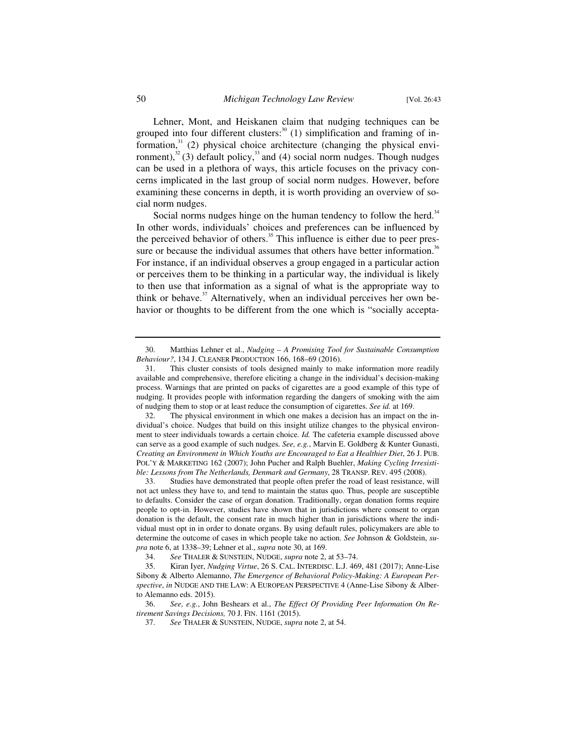Lehner, Mont, and Heiskanen claim that nudging techniques can be grouped into four different clusters:<sup>30</sup> (1) simplification and framing of information, $31$  (2) physical choice architecture (changing the physical environment),<sup>32</sup> (3) default policy,<sup>33</sup> and (4) social norm nudges. Though nudges can be used in a plethora of ways, this article focuses on the privacy concerns implicated in the last group of social norm nudges. However, before examining these concerns in depth, it is worth providing an overview of social norm nudges.

Social norms nudges hinge on the human tendency to follow the herd.<sup>34</sup> In other words, individuals' choices and preferences can be influenced by the perceived behavior of others.<sup>35</sup> This influence is either due to peer pressure or because the individual assumes that others have better information.<sup>36</sup> For instance, if an individual observes a group engaged in a particular action or perceives them to be thinking in a particular way, the individual is likely to then use that information as a signal of what is the appropriate way to think or behave. $37$  Alternatively, when an individual perceives her own behavior or thoughts to be different from the one which is "socially accepta-

34. *See* THALER & SUNSTEIN, NUDGE, *supra* note 2, at 53–74.

 <sup>30.</sup> Matthias Lehner et al., *Nudging – A Promising Tool for Sustainable Consumption Behaviour?*, 134 J. CLEANER PRODUCTION 166, 168–69 (2016).

 <sup>31.</sup> This cluster consists of tools designed mainly to make information more readily available and comprehensive, therefore eliciting a change in the individual's decision-making process. Warnings that are printed on packs of cigarettes are a good example of this type of nudging. It provides people with information regarding the dangers of smoking with the aim of nudging them to stop or at least reduce the consumption of cigarettes. *See id.* at 169.

 <sup>32.</sup> The physical environment in which one makes a decision has an impact on the individual's choice. Nudges that build on this insight utilize changes to the physical environment to steer individuals towards a certain choice. *Id.* The cafeteria example discussed above can serve as a good example of such nudges. *See, e.g.*, Marvin E. Goldberg & Kunter Gunasti, *Creating an Environment in Which Youths are Encouraged to Eat a Healthier Diet*, 26 J. PUB. POL'Y & MARKETING 162 (2007); John Pucher and Ralph Buehler, *Making Cycling Irresistible: Lessons from The Netherlands, Denmark and Germany*, 28 TRANSP. REV. 495 (2008).

 <sup>33.</sup> Studies have demonstrated that people often prefer the road of least resistance, will not act unless they have to, and tend to maintain the status quo. Thus, people are susceptible to defaults. Consider the case of organ donation. Traditionally, organ donation forms require people to opt-in. However, studies have shown that in jurisdictions where consent to organ donation is the default, the consent rate in much higher than in jurisdictions where the individual must opt in in order to donate organs. By using default rules, policymakers are able to determine the outcome of cases in which people take no action. *See* Johnson & Goldstein, *supra* note 6, at 1338–39; Lehner et al., *supra* note 30, at 169.

 <sup>35.</sup> Kiran Iyer, *Nudging Virtue*, 26 S. CAL. INTERDISC. L.J. 469, 481 (2017); Anne-Lise Sibony & Alberto Alemanno, *The Emergence of Behavioral Policy-Making: A European Perspective*, *in* NUDGE AND THE LAW:AEUROPEAN PERSPECTIVE 4 (Anne-Lise Sibony & Alberto Alemanno eds. 2015).

 <sup>36.</sup> *See, e.g.*, John Beshears et al., *The Effect Of Providing Peer Information On Retirement Savings Decisions,* 70 J. FIN. 1161 (2015).

 <sup>37.</sup> *See* THALER & SUNSTEIN, NUDGE, *supra* note 2, at 54.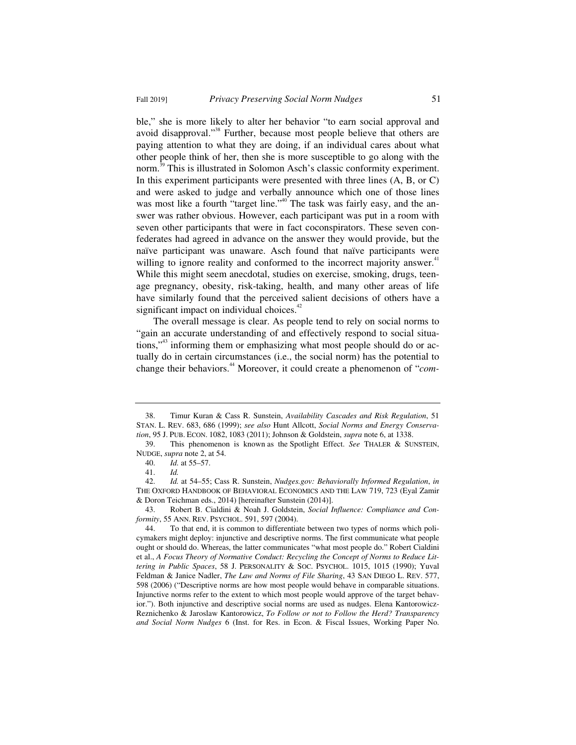ble," she is more likely to alter her behavior "to earn social approval and avoid disapproval."<sup>38</sup> Further, because most people believe that others are paying attention to what they are doing, if an individual cares about what other people think of her, then she is more susceptible to go along with the norm.<sup>39</sup> This is illustrated in Solomon Asch's classic conformity experiment. In this experiment participants were presented with three lines (A, B, or C) and were asked to judge and verbally announce which one of those lines was most like a fourth "target line."<sup>40</sup> The task was fairly easy, and the answer was rather obvious. However, each participant was put in a room with seven other participants that were in fact coconspirators. These seven confederates had agreed in advance on the answer they would provide, but the naïve participant was unaware. Asch found that naïve participants were willing to ignore reality and conformed to the incorrect majority answer.<sup>41</sup> While this might seem anecdotal, studies on exercise, smoking, drugs, teenage pregnancy, obesity, risk-taking, health, and many other areas of life have similarly found that the perceived salient decisions of others have a significant impact on individual choices. $42$ 

The overall message is clear. As people tend to rely on social norms to "gain an accurate understanding of and effectively respond to social situations,"<sup>43</sup> informing them or emphasizing what most people should do or actually do in certain circumstances (i.e., the social norm) has the potential to change their behaviors.44 Moreover, it could create a phenomenon of "*com-*

 43. Robert B. Cialdini & Noah J. Goldstein, *Social Influence: Compliance and Conformity*, 55 ANN. REV. PSYCHOL. 591, 597 (2004).

 <sup>38.</sup> Timur Kuran & Cass R. Sunstein, *Availability Cascades and Risk Regulation*, 51 STAN. L. REV. 683, 686 (1999); *see also* Hunt Allcott, *Social Norms and Energy Conservation*, 95 J. PUB. ECON. 1082, 1083 (2011); Johnson & Goldstein, *supra* note 6, at 1338.

 <sup>39.</sup> This phenomenon is known as the Spotlight Effect. *See* THALER & SUNSTEIN, NUDGE, *supra* note 2, at 54.

 <sup>40.</sup> *Id.* at 55–57.

 <sup>41.</sup> *Id.*

 <sup>42.</sup> *Id.* at 54–55; Cass R. Sunstein, *Nudges.gov: Behaviorally Informed Regulation*, *in* THE OXFORD HANDBOOK OF BEHAVIORAL ECONOMICS AND THE LAW 719, 723 (Eyal Zamir & Doron Teichman eds., 2014) [hereinafter Sunstein (2014)].

 <sup>44.</sup> To that end, it is common to differentiate between two types of norms which policymakers might deploy: injunctive and descriptive norms. The first communicate what people ought or should do. Whereas, the latter communicates "what most people do." Robert Cialdini et al., *A Focus Theory of Normative Conduct: Recycling the Concept of Norms to Reduce Littering in Public Spaces*, 58 J. PERSONALITY & SOC. PSYCHOL. 1015, 1015 (1990); Yuval Feldman & Janice Nadler, *The Law and Norms of File Sharing*, 43 SAN DIEGO L. REV. 577, 598 (2006) ("Descriptive norms are how most people would behave in comparable situations. Injunctive norms refer to the extent to which most people would approve of the target behavior."). Both injunctive and descriptive social norms are used as nudges. Elena Kantorowicz-Reznichenko & Jaroslaw Kantorowicz, *To Follow or not to Follow the Herd? Transparency and Social Norm Nudges* 6 (Inst. for Res. in Econ. & Fiscal Issues, Working Paper No.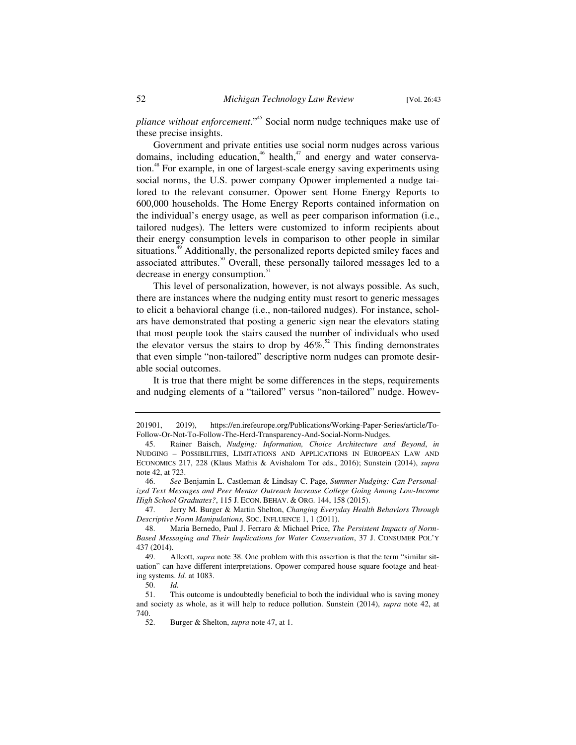*pliance without enforcement*."45 Social norm nudge techniques make use of these precise insights.

Government and private entities use social norm nudges across various domains, including education,<sup>46</sup> health,<sup>47</sup> and energy and water conservation.<sup>48</sup> For example, in one of largest-scale energy saving experiments using social norms, the U.S. power company Opower implemented a nudge tailored to the relevant consumer. Opower sent Home Energy Reports to 600,000 households. The Home Energy Reports contained information on the individual's energy usage, as well as peer comparison information (i.e., tailored nudges). The letters were customized to inform recipients about their energy consumption levels in comparison to other people in similar situations.<sup>49</sup> Additionally, the personalized reports depicted smiley faces and associated attributes.<sup>50</sup> Overall, these personally tailored messages led to a decrease in energy consumption.<sup>51</sup>

This level of personalization, however, is not always possible. As such, there are instances where the nudging entity must resort to generic messages to elicit a behavioral change (i.e., non-tailored nudges). For instance, scholars have demonstrated that posting a generic sign near the elevators stating that most people took the stairs caused the number of individuals who used the elevator versus the stairs to drop by  $46\%$ .<sup>52</sup> This finding demonstrates that even simple "non-tailored" descriptive norm nudges can promote desirable social outcomes.

It is true that there might be some differences in the steps, requirements and nudging elements of a "tailored" versus "non-tailored" nudge. Howev-

 47. Jerry M. Burger & Martin Shelton, *Changing Everyday Health Behaviors Through Descriptive Norm Manipulations,* SOC. INFLUENCE 1, 1 (2011).

<sup>201901, 2019),</sup> https://en.irefeurope.org/Publications/Working-Paper-Series/article/To-Follow-Or-Not-To-Follow-The-Herd-Transparency-And-Social-Norm-Nudges.

 <sup>45.</sup> Rainer Baisch, *Nudging: Information, Choice Architecture and Beyond*, *in* NUDGING – POSSIBILITIES, LIMITATIONS AND APPLICATIONS IN EUROPEAN LAW AND ECONOMICS 217, 228 (Klaus Mathis & Avishalom Tor eds., 2016); Sunstein (2014), *supra* note 42, at 723.

 <sup>46.</sup> *See* Benjamin L. Castleman & Lindsay C. Page, *Summer Nudging: Can Personalized Text Messages and Peer Mentor Outreach Increase College Going Among Low-Income High School Graduates?*, 115 J. ECON. BEHAV.&ORG. 144, 158 (2015).

 <sup>48.</sup> Maria Bernedo, Paul J. Ferraro & Michael Price, *The Persistent Impacts of Norm-Based Messaging and Their Implications for Water Conservation*, 37 J. CONSUMER POL'Y 437 (2014).

 <sup>49.</sup> Allcott, *supra* note 38. One problem with this assertion is that the term "similar situation" can have different interpretations. Opower compared house square footage and heating systems. *Id.* at 1083.

 <sup>50.</sup> *Id.*

This outcome is undoubtedly beneficial to both the individual who is saving money and society as whole, as it will help to reduce pollution. Sunstein (2014), *supra* note 42, at 740.

 <sup>52.</sup> Burger & Shelton, *supra* note 47, at 1.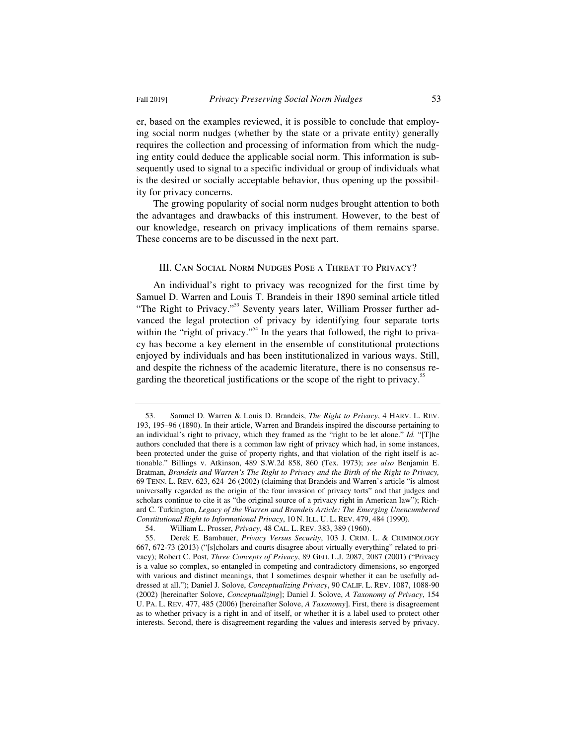er, based on the examples reviewed, it is possible to conclude that employing social norm nudges (whether by the state or a private entity) generally requires the collection and processing of information from which the nudging entity could deduce the applicable social norm. This information is subsequently used to signal to a specific individual or group of individuals what is the desired or socially acceptable behavior, thus opening up the possibility for privacy concerns.

The growing popularity of social norm nudges brought attention to both the advantages and drawbacks of this instrument. However, to the best of our knowledge, research on privacy implications of them remains sparse. These concerns are to be discussed in the next part.

### III. Can Social Norm Nudges Pose a Threat to Privacy?

An individual's right to privacy was recognized for the first time by Samuel D. Warren and Louis T. Brandeis in their 1890 seminal article titled "The Right to Privacy."<sup>53</sup> Seventy years later, William Prosser further advanced the legal protection of privacy by identifying four separate torts within the "right of privacy."<sup>54</sup> In the years that followed, the right to privacy has become a key element in the ensemble of constitutional protections enjoyed by individuals and has been institutionalized in various ways. Still, and despite the richness of the academic literature, there is no consensus regarding the theoretical justifications or the scope of the right to privacy.<sup>55</sup>

 <sup>53.</sup> Samuel D. Warren & Louis D. Brandeis, *The Right to Privacy*, 4 HARV. L. REV. 193, 195–96 (1890). In their article, Warren and Brandeis inspired the discourse pertaining to an individual's right to privacy, which they framed as the "right to be let alone." *Id.* "[T]he authors concluded that there is a common law right of privacy which had, in some instances, been protected under the guise of property rights, and that violation of the right itself is actionable." Billings v. Atkinson, 489 S.W.2d 858, 860 (Tex. 1973); *see also* Benjamin E. Bratman, *Brandeis and Warren's The Right to Privacy and the Birth of the Right to Privacy,* 69 TENN. L. REV. 623, 624–26 (2002) (claiming that Brandeis and Warren's article "is almost universally regarded as the origin of the four invasion of privacy torts" and that judges and scholars continue to cite it as "the original source of a privacy right in American law"); Richard C. Turkington, *Legacy of the Warren and Brandeis Article: The Emerging Unencumbered Constitutional Right to Informational Privacy*, 10 N. ILL. U. L. REV. 479, 484 (1990).

 <sup>54.</sup> William L. Prosser, *Privacy*, 48 CAL. L. REV. 383, 389 (1960).

 <sup>55.</sup> Derek E. Bambauer, *Privacy Versus Security*, 103 J. CRIM. L. & CRIMINOLOGY 667, 672-73 (2013) ("[s]cholars and courts disagree about virtually everything" related to privacy); Robert C. Post, *Three Concepts of Privacy*, 89 GEO. L.J. 2087, 2087 (2001) ("Privacy is a value so complex, so entangled in competing and contradictory dimensions, so engorged with various and distinct meanings, that I sometimes despair whether it can be usefully addressed at all."); Daniel J. Solove, *Conceptualizing Privacy*, 90 CALIF. L. REV. 1087, 1088-90 (2002) [hereinafter Solove, *Conceptualizing*]; Daniel J. Solove, *A Taxonomy of Privacy*, 154 U. PA. L. REV. 477, 485 (2006) [hereinafter Solove, *A Taxonomy*]. First, there is disagreement as to whether privacy is a right in and of itself, or whether it is a label used to protect other interests. Second, there is disagreement regarding the values and interests served by privacy.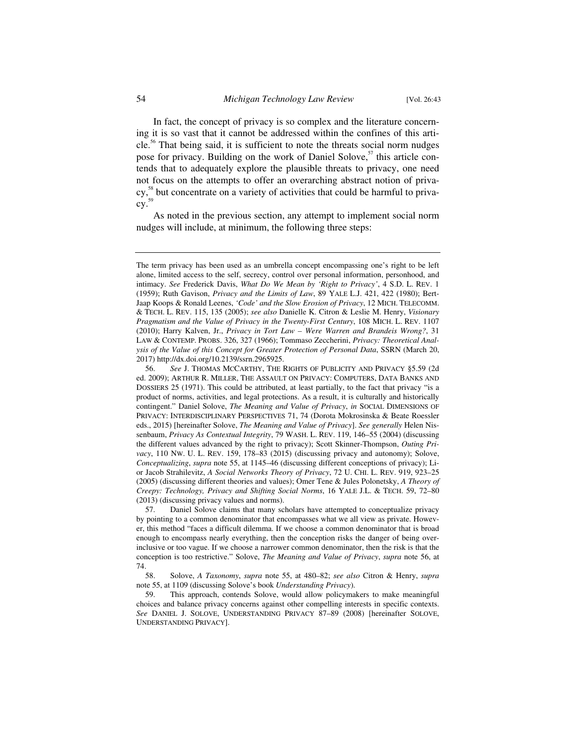In fact, the concept of privacy is so complex and the literature concerning it is so vast that it cannot be addressed within the confines of this article.56 That being said, it is sufficient to note the threats social norm nudges pose for privacy. Building on the work of Daniel Solove,<sup>57</sup> this article contends that to adequately explore the plausible threats to privacy, one need not focus on the attempts to offer an overarching abstract notion of privacy,<sup>58</sup> but concentrate on a variety of activities that could be harmful to priva- $\text{cy.}^{\scriptscriptstyle 59}$ 

As noted in the previous section, any attempt to implement social norm nudges will include, at minimum, the following three steps:

The term privacy has been used as an umbrella concept encompassing one's right to be left alone, limited access to the self, secrecy, control over personal information, personhood, and intimacy. *See* Frederick Davis, *What Do We Mean by 'Right to Privacy'*, 4 S.D. L. REV. 1 (1959); Ruth Gavison, *Privacy and the Limits of Law*, 89 YALE L.J. 421, 422 (1980); Bert-Jaap Koops & Ronald Leenes, *'Code' and the Slow Erosion of Privacy*, 12 MICH. TELECOMM. & TECH. L. REV. 115, 135 (2005); *see also* Danielle K. Citron & Leslie M. Henry, *Visionary Pragmatism and the Value of Privacy in the Twenty-First Century*, 108 MICH. L. REV. 1107 (2010); Harry Kalven, Jr., *Privacy in Tort Law – Were Warren and Brandeis Wrong?*, 31 LAW & CONTEMP. PROBS. 326, 327 (1966); Tommaso Zeccherini, *Privacy: Theoretical Analysis of the Value of this Concept for Greater Protection of Personal Data*, SSRN (March 20, 2017) http://dx.doi.org/10.2139/ssrn.2965925.

 <sup>56.</sup> *See* J. THOMAS MCCARTHY, THE RIGHTS OF PUBLICITY AND PRIVACY §5.59 (2d ed. 2009); ARTHUR R. MILLER, THE ASSAULT ON PRIVACY: COMPUTERS, DATA BANKS AND DOSSIERS 25 (1971). This could be attributed, at least partially, to the fact that privacy "is a product of norms, activities, and legal protections. As a result, it is culturally and historically contingent." Daniel Solove, *The Meaning and Value of Privacy*, *in* SOCIAL DIMENSIONS OF PRIVACY: INTERDISCIPLINARY PERSPECTIVES 71, 74 (Dorota Mokrosinska & Beate Roessler eds., 2015) [hereinafter Solove, *The Meaning and Value of Privacy*]. *See generally* Helen Nissenbaum, *Privacy As Contextual Integrity*, 79 WASH. L. REV. 119, 146–55 (2004) (discussing the different values advanced by the right to privacy); Scott Skinner-Thompson, *Outing Privacy*, 110 NW. U. L. REV. 159, 178–83 (2015) (discussing privacy and autonomy); Solove, *Conceptualizing*, *supra* note 55, at 1145–46 (discussing different conceptions of privacy); Lior Jacob Strahilevitz, *A Social Networks Theory of Privacy*, 72 U. CHI. L. REV. 919, 923–25 (2005) (discussing different theories and values); Omer Tene & Jules Polonetsky, *A Theory of Creepy: Technology, Privacy and Shifting Social Norms*, 16 YALE J.L. & TECH. 59, 72–80 (2013) (discussing privacy values and norms).

 <sup>57.</sup> Daniel Solove claims that many scholars have attempted to conceptualize privacy by pointing to a common denominator that encompasses what we all view as private. However, this method "faces a difficult dilemma. If we choose a common denominator that is broad enough to encompass nearly everything, then the conception risks the danger of being overinclusive or too vague. If we choose a narrower common denominator, then the risk is that the conception is too restrictive." Solove, *The Meaning and Value of Privacy*, *supra* note 56, at 74.

 <sup>58.</sup> Solove, *A Taxonomy*, *supra* note 55, at 480–82; *see also* Citron & Henry, *supra* note 55, at 1109 (discussing Solove's book *Understanding Privacy*).

 <sup>59.</sup> This approach, contends Solove, would allow policymakers to make meaningful choices and balance privacy concerns against other compelling interests in specific contexts. *See* DANIEL J. SOLOVE, UNDERSTANDING PRIVACY 87–89 (2008) [hereinafter SOLOVE, UNDERSTANDING PRIVACY].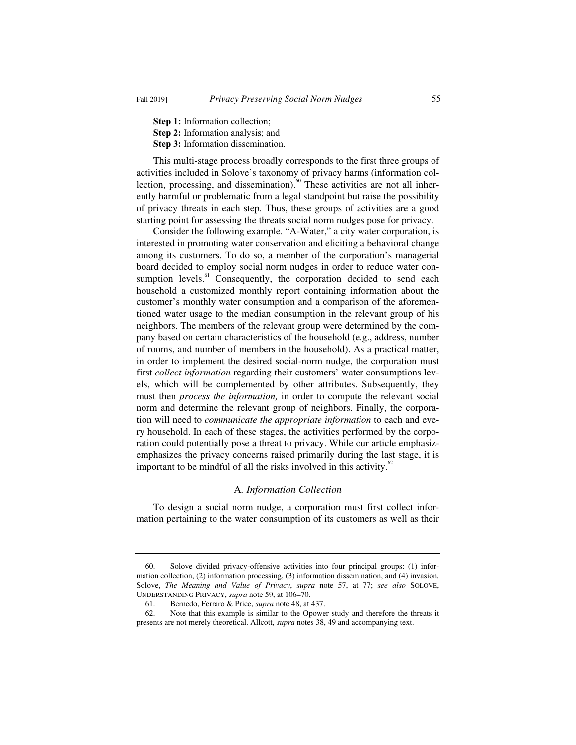**Step 1:** Information collection;

- **Step 2:** Information analysis; and
- **Step 3:** Information dissemination.

This multi-stage process broadly corresponds to the first three groups of activities included in Solove's taxonomy of privacy harms (information collection, processing, and dissemination).<sup>60</sup> These activities are not all inherently harmful or problematic from a legal standpoint but raise the possibility of privacy threats in each step. Thus, these groups of activities are a good starting point for assessing the threats social norm nudges pose for privacy.

Consider the following example. "A-Water," a city water corporation, is interested in promoting water conservation and eliciting a behavioral change among its customers. To do so, a member of the corporation's managerial board decided to employ social norm nudges in order to reduce water consumption levels.<sup>61</sup> Consequently, the corporation decided to send each household a customized monthly report containing information about the customer's monthly water consumption and a comparison of the aforementioned water usage to the median consumption in the relevant group of his neighbors. The members of the relevant group were determined by the company based on certain characteristics of the household (e.g., address, number of rooms, and number of members in the household). As a practical matter, in order to implement the desired social-norm nudge, the corporation must first *collect information* regarding their customers' water consumptions levels, which will be complemented by other attributes. Subsequently, they must then *process the information,* in order to compute the relevant social norm and determine the relevant group of neighbors. Finally, the corporation will need to *communicate the appropriate information* to each and every household. In each of these stages, the activities performed by the corporation could potentially pose a threat to privacy. While our article emphasizemphasizes the privacy concerns raised primarily during the last stage, it is important to be mindful of all the risks involved in this activity. $62$ 

#### A*. Information Collection*

To design a social norm nudge, a corporation must first collect information pertaining to the water consumption of its customers as well as their

 <sup>60.</sup> Solove divided privacy-offensive activities into four principal groups: (1) information collection, (2) information processing, (3) information dissemination, and (4) invasion*.* Solove, *The Meaning and Value of Privacy*, *supra* note 57, at 77; *see also* SOLOVE, UNDERSTANDING PRIVACY, *supra* note 59, at 106–70.

 <sup>61.</sup> Bernedo, Ferraro & Price, *supra* note 48, at 437.

 <sup>62.</sup> Note that this example is similar to the Opower study and therefore the threats it presents are not merely theoretical. Allcott, *supra* notes 38, 49 and accompanying text.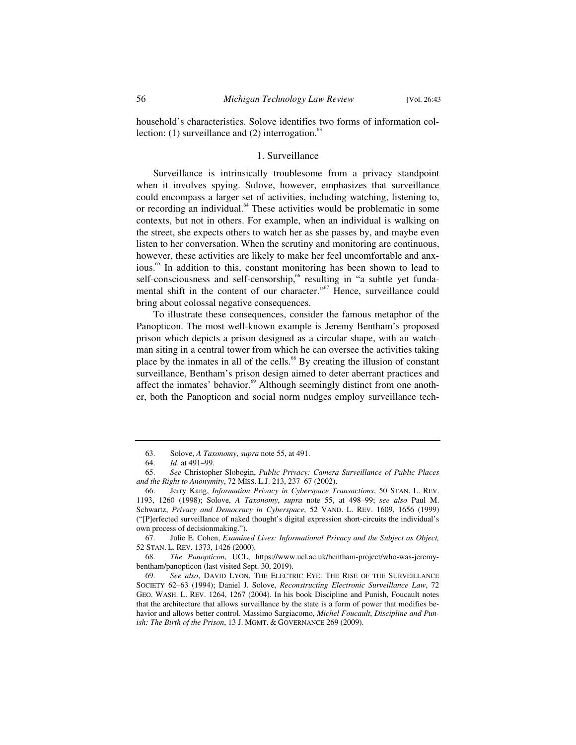household's characteristics. Solove identifies two forms of information collection: (1) surveillance and (2) interrogation. $63$ 

## 1. Surveillance

Surveillance is intrinsically troublesome from a privacy standpoint when it involves spying. Solove, however, emphasizes that surveillance could encompass a larger set of activities, including watching, listening to, or recording an individual.<sup>64</sup> These activities would be problematic in some contexts, but not in others. For example, when an individual is walking on the street, she expects others to watch her as she passes by, and maybe even listen to her conversation. When the scrutiny and monitoring are continuous, however, these activities are likely to make her feel uncomfortable and anxious.<sup>65</sup> In addition to this, constant monitoring has been shown to lead to self-consciousness and self-censorship,<sup>66</sup> resulting in "a subtle yet fundamental shift in the content of our character."<sup>67</sup> Hence, surveillance could bring about colossal negative consequences.

To illustrate these consequences, consider the famous metaphor of the Panopticon. The most well-known example is Jeremy Bentham's proposed prison which depicts a prison designed as a circular shape, with an watchman siting in a central tower from which he can oversee the activities taking place by the inmates in all of the cells. $68$  By creating the illusion of constant surveillance, Bentham's prison design aimed to deter aberrant practices and affect the inmates' behavior.<sup>69</sup> Although seemingly distinct from one another, both the Panopticon and social norm nudges employ surveillance tech-

 67. Julie E. Cohen, *Examined Lives: Informational Privacy and the Subject as Object,* 52 STAN. L. REV. 1373, 1426 (2000).

 <sup>63.</sup> Solove, *A Taxonomy*, *supra* note 55, at 491.

 <sup>64.</sup> *Id*. at 491–99.

 <sup>65.</sup> *See* Christopher Slobogin, *Public Privacy: Camera Surveillance of Public Places and the Right to Anonymity*, 72 MISS. L.J. 213, 237–67 (2002).

 <sup>66.</sup> Jerry Kang, *Information Privacy in Cyberspace Transactions*, 50 STAN. L. REV. 1193, 1260 (1998); Solove, *A Taxonomy*, *supra* note 55, at 498–99; *see also* Paul M. Schwartz, *Privacy and Democracy in Cyberspace*, 52 VAND. L. REV. 1609, 1656 (1999) ("[P]erfected surveillance of naked thought's digital expression short-circuits the individual's own process of decisionmaking.").

 <sup>68.</sup> *The Panopticon*, UCL, https://www.ucl.ac.uk/bentham-project/who-was-jeremybentham/panopticon (last visited Sept. 30, 2019).

 <sup>69.</sup> *See also*, DAVID LYON, THE ELECTRIC EYE: THE RISE OF THE SURVEILLANCE SOCIETY 62–63 (1994); Daniel J. Solove, *Reconstructing Electronic Surveillance Law*, 72 GEO. WASH. L. REV. 1264, 1267 (2004). In his book Discipline and Punish, Foucault notes that the architecture that allows surveillance by the state is a form of power that modifies behavior and allows better control. Massimo Sargiacomo, *Michel Foucault*, *Discipline and Punish: The Birth of the Prison*, 13 J. MGMT.&GOVERNANCE 269 (2009).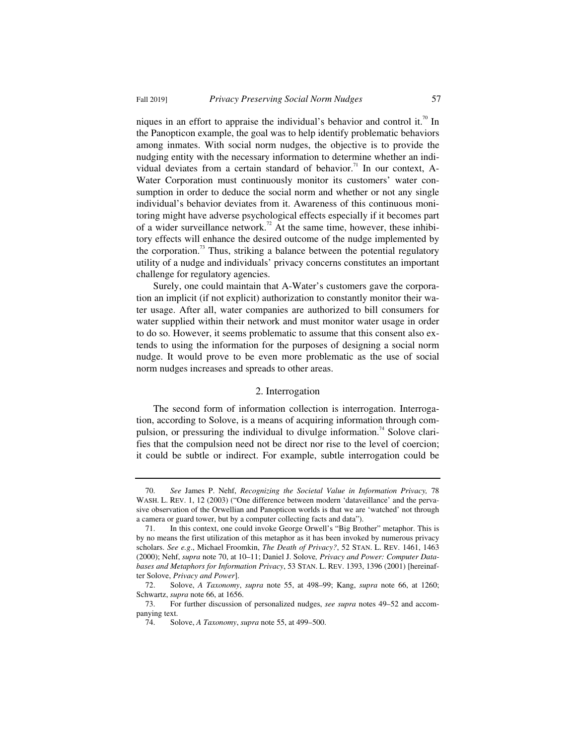niques in an effort to appraise the individual's behavior and control it.<sup>70</sup> In the Panopticon example, the goal was to help identify problematic behaviors among inmates. With social norm nudges, the objective is to provide the nudging entity with the necessary information to determine whether an individual deviates from a certain standard of behavior.<sup>71</sup> In our context, A-Water Corporation must continuously monitor its customers' water consumption in order to deduce the social norm and whether or not any single individual's behavior deviates from it. Awareness of this continuous monitoring might have adverse psychological effects especially if it becomes part of a wider surveillance network.<sup>72</sup> At the same time, however, these inhibitory effects will enhance the desired outcome of the nudge implemented by the corporation.<sup>73</sup> Thus, striking a balance between the potential regulatory utility of a nudge and individuals' privacy concerns constitutes an important challenge for regulatory agencies.

Surely, one could maintain that A-Water's customers gave the corporation an implicit (if not explicit) authorization to constantly monitor their water usage. After all, water companies are authorized to bill consumers for water supplied within their network and must monitor water usage in order to do so. However, it seems problematic to assume that this consent also extends to using the information for the purposes of designing a social norm nudge. It would prove to be even more problematic as the use of social norm nudges increases and spreads to other areas.

#### 2. Interrogation

The second form of information collection is interrogation. Interrogation, according to Solove, is a means of acquiring information through compulsion, or pressuring the individual to divulge information.<sup>74</sup> Solove clarifies that the compulsion need not be direct nor rise to the level of coercion; it could be subtle or indirect. For example, subtle interrogation could be

 <sup>70.</sup> *See* James P. Nehf, *Recognizing the Societal Value in Information Privacy,* 78 WASH. L. REV. 1, 12 (2003) ("One difference between modern 'dataveillance' and the pervasive observation of the Orwellian and Panopticon worlds is that we are 'watched' not through a camera or guard tower, but by a computer collecting facts and data").

 <sup>71.</sup> In this context, one could invoke George Orwell's "Big Brother" metaphor. This is by no means the first utilization of this metaphor as it has been invoked by numerous privacy scholars. *See e.g*., Michael Froomkin, *The Death of Privacy?*, 52 STAN. L. REV. 1461, 1463 (2000); Nehf, *supra* note 70, at 10–11; Daniel J. Solove*, Privacy and Power: Computer Databases and Metaphors for Information Privacy*, 53 STAN. L. REV. 1393, 1396 (2001) [hereinafter Solove, *Privacy and Power*].

 <sup>72.</sup> Solove, *A Taxonomy*, *supra* note 55, at 498–99; Kang, *supra* note 66, at 1260; Schwartz, *supra* note 66, at 1656.<br>73. For further discussion

 <sup>73.</sup> For further discussion of personalized nudges, *see supra* notes 49–52 and accompanying text.

 <sup>74.</sup> Solove, *A Taxonomy*, *supra* note 55, at 499–500.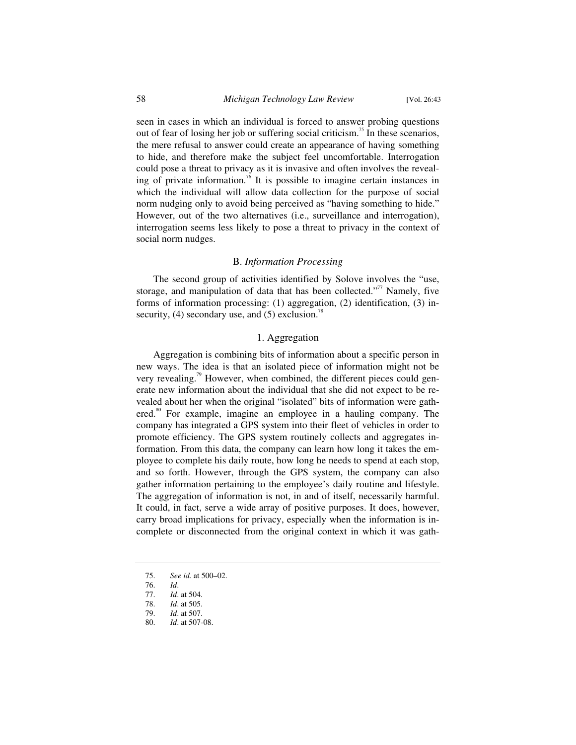seen in cases in which an individual is forced to answer probing questions out of fear of losing her job or suffering social criticism.<sup>75</sup> In these scenarios, the mere refusal to answer could create an appearance of having something to hide, and therefore make the subject feel uncomfortable. Interrogation could pose a threat to privacy as it is invasive and often involves the revealing of private information.<sup>76</sup> It is possible to imagine certain instances in which the individual will allow data collection for the purpose of social norm nudging only to avoid being perceived as "having something to hide." However, out of the two alternatives (i.e., surveillance and interrogation), interrogation seems less likely to pose a threat to privacy in the context of social norm nudges.

### B. *Information Processing*

The second group of activities identified by Solove involves the "use, storage, and manipulation of data that has been collected."<sup>77</sup> Namely, five forms of information processing: (1) aggregation, (2) identification, (3) insecurity,  $(4)$  secondary use, and  $(5)$  exclusion.<sup>78</sup>

## 1. Aggregation

Aggregation is combining bits of information about a specific person in new ways. The idea is that an isolated piece of information might not be very revealing.<sup>79</sup> However, when combined, the different pieces could generate new information about the individual that she did not expect to be revealed about her when the original "isolated" bits of information were gathered.<sup>80</sup> For example, imagine an employee in a hauling company. The company has integrated a GPS system into their fleet of vehicles in order to promote efficiency. The GPS system routinely collects and aggregates information. From this data, the company can learn how long it takes the employee to complete his daily route, how long he needs to spend at each stop, and so forth. However, through the GPS system, the company can also gather information pertaining to the employee's daily routine and lifestyle. The aggregation of information is not, in and of itself, necessarily harmful. It could, in fact, serve a wide array of positive purposes. It does, however, carry broad implications for privacy, especially when the information is incomplete or disconnected from the original context in which it was gath-

- 75. *See id.* at 500–02.
- 76. *Id*.
- 77. *Id*. at 504.
- *Id.* at 505.
- 79. *Id*. at 507.
- 80. *Id*. at 507-08.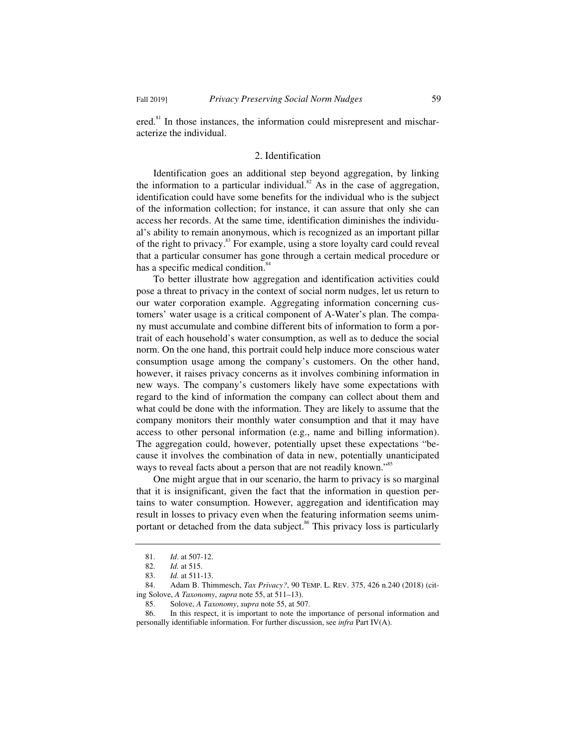ered.<sup>81</sup> In those instances, the information could misrepresent and mischaracterize the individual.

## 2. Identification

Identification goes an additional step beyond aggregation, by linking the information to a particular individual.<sup>82</sup> As in the case of aggregation, identification could have some benefits for the individual who is the subject of the information collection; for instance, it can assure that only she can access her records. At the same time, identification diminishes the individual's ability to remain anonymous, which is recognized as an important pillar of the right to privacy.<sup>83</sup> For example, using a store loyalty card could reveal that a particular consumer has gone through a certain medical procedure or has a specific medical condition.<sup>8</sup>

To better illustrate how aggregation and identification activities could pose a threat to privacy in the context of social norm nudges, let us return to our water corporation example. Aggregating information concerning customers' water usage is a critical component of A-Water's plan. The company must accumulate and combine different bits of information to form a portrait of each household's water consumption, as well as to deduce the social norm. On the one hand, this portrait could help induce more conscious water consumption usage among the company's customers. On the other hand, however, it raises privacy concerns as it involves combining information in new ways. The company's customers likely have some expectations with regard to the kind of information the company can collect about them and what could be done with the information. They are likely to assume that the company monitors their monthly water consumption and that it may have access to other personal information (e.g., name and billing information). The aggregation could, however, potentially upset these expectations "because it involves the combination of data in new, potentially unanticipated ways to reveal facts about a person that are not readily known."<sup>85</sup>

One might argue that in our scenario, the harm to privacy is so marginal that it is insignificant, given the fact that the information in question pertains to water consumption. However, aggregation and identification may result in losses to privacy even when the featuring information seems unimportant or detached from the data subject.<sup>86</sup> This privacy loss is particularly

 <sup>81.</sup> *Id*. at 507-12.

 <sup>82.</sup> *Id.* at 515.

 <sup>83.</sup> *Id.* at 511-13.

 <sup>84.</sup> Adam B. Thimmesch, *Tax Privacy?*, 90 TEMP. L. REV. 375, 426 n.240 (2018) (citing Solove, *A Taxonomy*, *supra* note 55, at 511–13).

 <sup>85.</sup> Solove, *A Taxonomy*, *supra* note 55, at 507.

 <sup>86.</sup> In this respect, it is important to note the importance of personal information and personally identifiable information. For further discussion, see *infra* Part IV(A).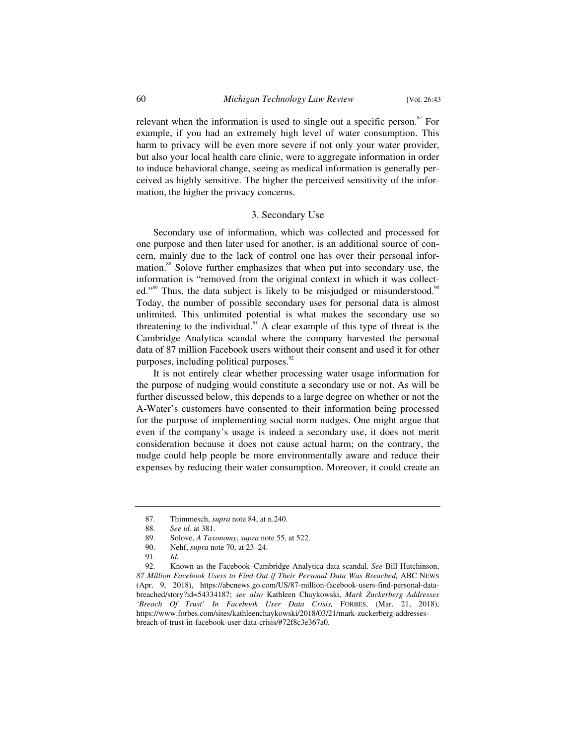relevant when the information is used to single out a specific person.<sup>87</sup> For example, if you had an extremely high level of water consumption. This harm to privacy will be even more severe if not only your water provider, but also your local health care clinic, were to aggregate information in order to induce behavioral change, seeing as medical information is generally perceived as highly sensitive. The higher the perceived sensitivity of the information, the higher the privacy concerns.

## 3. Secondary Use

Secondary use of information, which was collected and processed for one purpose and then later used for another, is an additional source of concern, mainly due to the lack of control one has over their personal information.<sup>88</sup> Solove further emphasizes that when put into secondary use, the information is "removed from the original context in which it was collected."<sup>89</sup> Thus, the data subject is likely to be misjudged or misunderstood.<sup>90</sup> Today, the number of possible secondary uses for personal data is almost unlimited. This unlimited potential is what makes the secondary use so threatening to the individual.<sup>91</sup> A clear example of this type of threat is the Cambridge Analytica scandal where the company harvested the personal data of 87 million Facebook users without their consent and used it for other purposes, including political purposes. $92$ 

It is not entirely clear whether processing water usage information for the purpose of nudging would constitute a secondary use or not. As will be further discussed below, this depends to a large degree on whether or not the A-Water's customers have consented to their information being processed for the purpose of implementing social norm nudges. One might argue that even if the company's usage is indeed a secondary use, it does not merit consideration because it does not cause actual harm; on the contrary, the nudge could help people be more environmentally aware and reduce their expenses by reducing their water consumption. Moreover, it could create an

 <sup>87.</sup> Thimmesch, *supra* note 84, at n.240.

 <sup>88.</sup> *See id*. at 381.

 <sup>89.</sup> Solove, *A Taxonomy*, *supra* note 55, at 522.

Nehf, *supra* note 70, at 23-24.

 <sup>91.</sup> *Id.*

 <sup>92.</sup> Known as the Facebook–Cambridge Analytica data scandal. *See* Bill Hutchinson, *87 Million Facebook Users to Find Out if Their Personal Data Was Breached,* ABC NEWS (Apr. 9, 2018), https://abcnews.go.com/US/87-million-facebook-users-find-personal-databreached/story?id=54334187; *see also* Kathleen Chaykowski, *Mark Zuckerberg Addresses 'Breach Of Trust' In Facebook User Data Crisis,* FORBES, (Mar. 21, 2018), https://www.forbes.com/sites/kathleenchaykowski/2018/03/21/mark-zuckerberg-addressesbreach-of-trust-in-facebook-user-data-crisis/#72f8c3e367a0.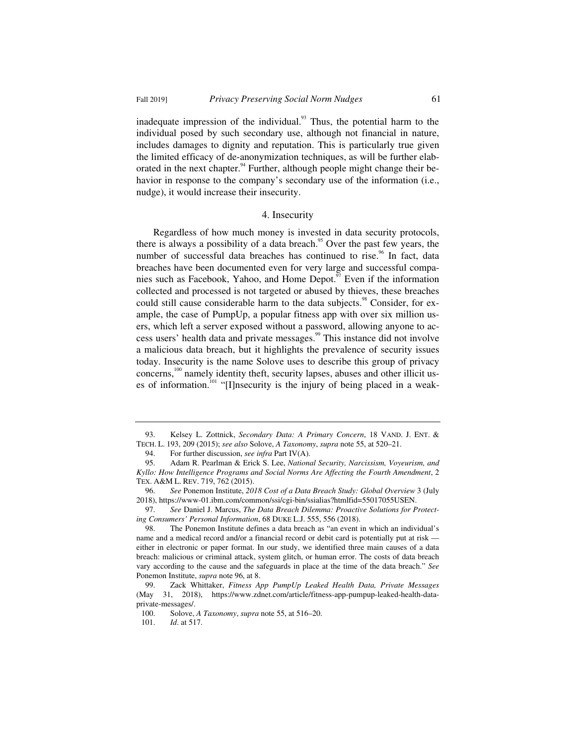inadequate impression of the individual. $93$  Thus, the potential harm to the individual posed by such secondary use, although not financial in nature, includes damages to dignity and reputation. This is particularly true given the limited efficacy of de-anonymization techniques, as will be further elaborated in the next chapter.<sup>94</sup> Further, although people might change their behavior in response to the company's secondary use of the information (i.e., nudge), it would increase their insecurity.

#### 4. Insecurity

Regardless of how much money is invested in data security protocols, there is always a possibility of a data breach.<sup>95</sup> Over the past few years, the number of successful data breaches has continued to rise.<sup>96</sup> In fact, data breaches have been documented even for very large and successful companies such as Facebook, Yahoo, and Home Depot.<sup>97</sup> Even if the information collected and processed is not targeted or abused by thieves, these breaches could still cause considerable harm to the data subjects.<sup>98</sup> Consider, for example, the case of PumpUp, a popular fitness app with over six million users, which left a server exposed without a password, allowing anyone to access users' health data and private messages.<sup>99</sup> This instance did not involve a malicious data breach, but it highlights the prevalence of security issues today. Insecurity is the name Solove uses to describe this group of privacy concerns,<sup>100</sup> namely identity theft, security lapses, abuses and other illicit uses of information.<sup>101</sup> "[I]nsecurity is the injury of being placed in a weak-

 <sup>93.</sup> Kelsey L. Zottnick, *Secondary Data: A Primary Concern*, 18 VAND. J. ENT. & TECH. L. 193, 209 (2015); *see also* Solove, *A Taxonomy*, *supra* note 55, at 520–21.

<sup>94.</sup> For further discussion, *see infra* Part IV(A).<br>95. Adam R. Pearlman & Erick S. Lee, *Nationa* 

 <sup>95.</sup> Adam R. Pearlman & Erick S. Lee, *National Security, Narcissism, Voyeurism, and Kyllo: How Intelligence Programs and Social Norms Are Affecting the Fourth Amendment*, 2 TEX. A&M L. REV. 719, 762 (2015).

 <sup>96.</sup> *See* Ponemon Institute, *2018 Cost of a Data Breach Study: Global Overview* 3 (July 2018), https://www-01.ibm.com/common/ssi/cgi-bin/ssialias?htmlfid=55017055USEN.

 <sup>97.</sup> *See* Daniel J. Marcus, *The Data Breach Dilemma: Proactive Solutions for Protecting Consumers' Personal Information*, 68 DUKE L.J. 555, 556 (2018).

 <sup>98.</sup> The Ponemon Institute defines a data breach as "an event in which an individual's name and a medical record and/or a financial record or debit card is potentially put at risk either in electronic or paper format. In our study, we identified three main causes of a data breach: malicious or criminal attack, system glitch, or human error. The costs of data breach vary according to the cause and the safeguards in place at the time of the data breach." *See*  Ponemon Institute, *supra* note 96, at 8.

 <sup>99.</sup> Zack Whittaker, *Fitness App PumpUp Leaked Health Data, Private Messages* (May 31, 2018), https://www.zdnet.com/article/fitness-app-pumpup-leaked-health-dataprivate-messages/.

 <sup>100.</sup> Solove, *A Taxonomy*, *supra* note 55, at 516–20.

 <sup>101.</sup> *Id*. at 517.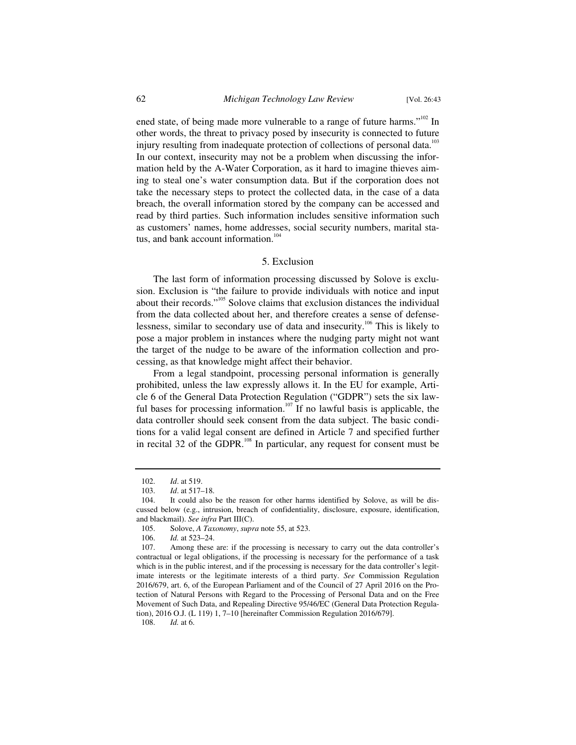ened state, of being made more vulnerable to a range of future harms."<sup>102</sup> In other words, the threat to privacy posed by insecurity is connected to future injury resulting from inadequate protection of collections of personal data.<sup>103</sup> In our context, insecurity may not be a problem when discussing the information held by the A-Water Corporation, as it hard to imagine thieves aiming to steal one's water consumption data. But if the corporation does not take the necessary steps to protect the collected data, in the case of a data breach, the overall information stored by the company can be accessed and read by third parties. Such information includes sensitive information such as customers' names, home addresses, social security numbers, marital status, and bank account information.<sup>104</sup>

#### 5. Exclusion

The last form of information processing discussed by Solove is exclusion. Exclusion is "the failure to provide individuals with notice and input about their records."105 Solove claims that exclusion distances the individual from the data collected about her, and therefore creates a sense of defenselessness, similar to secondary use of data and insecurity.<sup>106</sup> This is likely to pose a major problem in instances where the nudging party might not want the target of the nudge to be aware of the information collection and processing, as that knowledge might affect their behavior.

From a legal standpoint, processing personal information is generally prohibited, unless the law expressly allows it. In the EU for example, Article 6 of the General Data Protection Regulation ("GDPR") sets the six lawful bases for processing information.<sup>107</sup> If no lawful basis is applicable, the data controller should seek consent from the data subject. The basic conditions for a valid legal consent are defined in Article 7 and specified further in recital 32 of the GDPR. $^{108}$  In particular, any request for consent must be

108. *Id.* at 6.

 <sup>102.</sup> *Id*. at 519.

 <sup>103.</sup> *Id*. at 517–18.

 <sup>104.</sup> It could also be the reason for other harms identified by Solove, as will be discussed below (e.g., intrusion, breach of confidentiality, disclosure, exposure, identification, and blackmail). *See infra* Part III(C).

 <sup>105.</sup> Solove, *A Taxonomy*, *supra* note 55, at 523.

 <sup>106.</sup> *Id.* at 523–24.

 <sup>107.</sup> Among these are: if the processing is necessary to carry out the data controller's contractual or legal obligations, if the processing is necessary for the performance of a task which is in the public interest, and if the processing is necessary for the data controller's legitimate interests or the legitimate interests of a third party. *See* Commission Regulation 2016/679, art. 6, of the European Parliament and of the Council of 27 April 2016 on the Protection of Natural Persons with Regard to the Processing of Personal Data and on the Free Movement of Such Data, and Repealing Directive 95/46/EC (General Data Protection Regulation), 2016 O.J. (L 119) 1, 7–10 [hereinafter Commission Regulation 2016/679].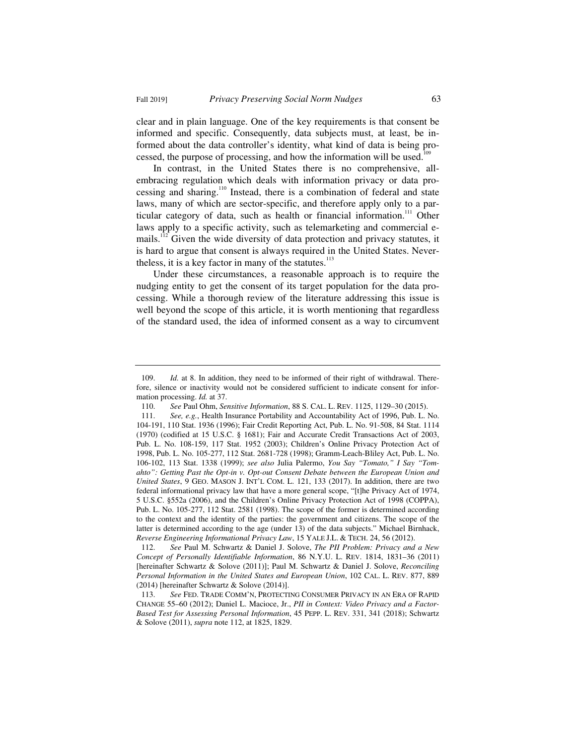clear and in plain language. One of the key requirements is that consent be informed and specific. Consequently, data subjects must, at least, be informed about the data controller's identity, what kind of data is being processed, the purpose of processing, and how the information will be used.<sup>11</sup>

In contrast, in the United States there is no comprehensive, allembracing regulation which deals with information privacy or data processing and sharing.110 Instead, there is a combination of federal and state laws, many of which are sector-specific, and therefore apply only to a particular category of data, such as health or financial information.<sup>111</sup> Other laws apply to a specific activity, such as telemarketing and commercial emails.<sup>112</sup> Given the wide diversity of data protection and privacy statutes, it is hard to argue that consent is always required in the United States. Nevertheless, it is a key factor in many of the statutes. $113$ 

Under these circumstances, a reasonable approach is to require the nudging entity to get the consent of its target population for the data processing. While a thorough review of the literature addressing this issue is well beyond the scope of this article, it is worth mentioning that regardless of the standard used, the idea of informed consent as a way to circumvent

 <sup>109.</sup> *Id.* at 8. In addition, they need to be informed of their right of withdrawal. Therefore, silence or inactivity would not be considered sufficient to indicate consent for information processing. *Id.* at 37.

 <sup>110.</sup> *See* Paul Ohm, *Sensitive Information*, 88 S. CAL. L. REV. 1125, 1129–30 (2015).

 <sup>111.</sup> *See, e.g.*, Health Insurance Portability and Accountability Act of 1996, Pub. L. No. 104-191, 110 Stat. 1936 (1996); Fair Credit Reporting Act, Pub. L. No. 91-508, 84 Stat. 1114 (1970) (codified at 15 U.S.C. § 1681); Fair and Accurate Credit Transactions Act of 2003, Pub. L. No. 108-159, 117 Stat. 1952 (2003); Children's Online Privacy Protection Act of 1998, Pub. L. No. 105-277, 112 Stat. 2681-728 (1998); Gramm-Leach-Bliley Act, Pub. L. No. 106-102, 113 Stat. 1338 (1999); *see also* Julia Palermo, *You Say "Tomato," I Say "Tomahto": Getting Past the Opt-in v. Opt-out Consent Debate between the European Union and United States*, 9 GEO. MASON J. INT'L COM. L. 121, 133 (2017). In addition, there are two federal informational privacy law that have a more general scope, "[t]he Privacy Act of 1974, 5 U.S.C. §552a (2006), and the Children's Online Privacy Protection Act of 1998 (COPPA), Pub. L. No. 105-277, 112 Stat. 2581 (1998). The scope of the former is determined according to the context and the identity of the parties: the government and citizens. The scope of the latter is determined according to the age (under 13) of the data subjects." Michael Birnhack, *Reverse Engineering Informational Privacy Law*, 15 YALE J.L. & TECH. 24, 56 (2012).

 <sup>112.</sup> *See* Paul M. Schwartz & Daniel J. Solove, *The PII Problem: Privacy and a New Concept of Personally Identifiable Information*, 86 N.Y.U. L. REV. 1814, 1831–36 (2011) [hereinafter Schwartz & Solove (2011)]; Paul M. Schwartz & Daniel J. Solove, *Reconciling Personal Information in the United States and European Union*, 102 CAL. L. REV. 877, 889 (2014) [hereinafter Schwartz & Solove (2014)].

 <sup>113.</sup> *See* FED. TRADE COMM'N, PROTECTING CONSUMER PRIVACY IN AN ERA OF RAPID CHANGE 55–60 (2012); Daniel L. Macioce, Jr., *PII in Context: Video Privacy and a Factor-Based Test for Assessing Personal Information*, 45 PEPP. L. REV. 331, 341 (2018); Schwartz & Solove (2011), *supra* note 112, at 1825, 1829.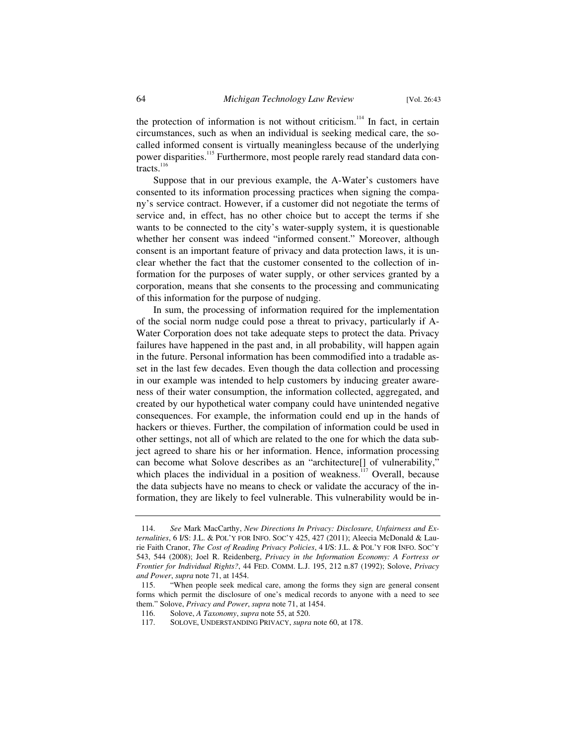the protection of information is not without criticism.<sup>114</sup> In fact, in certain circumstances, such as when an individual is seeking medical care, the socalled informed consent is virtually meaningless because of the underlying power disparities.<sup>115</sup> Furthermore, most people rarely read standard data contracts.<sup>116</sup>

Suppose that in our previous example, the A-Water's customers have consented to its information processing practices when signing the company's service contract. However, if a customer did not negotiate the terms of service and, in effect, has no other choice but to accept the terms if she wants to be connected to the city's water-supply system, it is questionable whether her consent was indeed "informed consent." Moreover, although consent is an important feature of privacy and data protection laws, it is unclear whether the fact that the customer consented to the collection of information for the purposes of water supply, or other services granted by a corporation, means that she consents to the processing and communicating of this information for the purpose of nudging.

In sum, the processing of information required for the implementation of the social norm nudge could pose a threat to privacy, particularly if A-Water Corporation does not take adequate steps to protect the data. Privacy failures have happened in the past and, in all probability, will happen again in the future. Personal information has been commodified into a tradable asset in the last few decades. Even though the data collection and processing in our example was intended to help customers by inducing greater awareness of their water consumption, the information collected, aggregated, and created by our hypothetical water company could have unintended negative consequences. For example, the information could end up in the hands of hackers or thieves. Further, the compilation of information could be used in other settings, not all of which are related to the one for which the data subject agreed to share his or her information. Hence, information processing can become what Solove describes as an "architecture[] of vulnerability," which places the individual in a position of weakness.<sup>117</sup> Overall, because the data subjects have no means to check or validate the accuracy of the information, they are likely to feel vulnerable. This vulnerability would be in-

 <sup>114.</sup> *See* Mark MacCarthy, *New Directions In Privacy: Disclosure, Unfairness and Externalities*, 6 I/S: J.L. & POL'Y FOR INFO. SOC'Y 425, 427 (2011); Aleecia McDonald & Laurie Faith Cranor, *The Cost of Reading Privacy Policies*, 4 I/S: J.L. & POL'Y FOR INFO. SOC'Y 543, 544 (2008); Joel R. Reidenberg, *Privacy in the Information Economy: A Fortress or Frontier for Individual Rights?*, 44 FED. COMM. L.J. 195, 212 n.87 (1992); Solove, *Privacy and Power*, *supra* note 71, at 1454.

 <sup>115. &</sup>quot;When people seek medical care, among the forms they sign are general consent forms which permit the disclosure of one's medical records to anyone with a need to see them." Solove, *Privacy and Power*, *supra* note 71, at 1454.

 <sup>116.</sup> Solove, *A Taxonomy*, *supra* note 55, at 520.

 <sup>117.</sup> SOLOVE, UNDERSTANDING PRIVACY, *supra* note 60, at 178.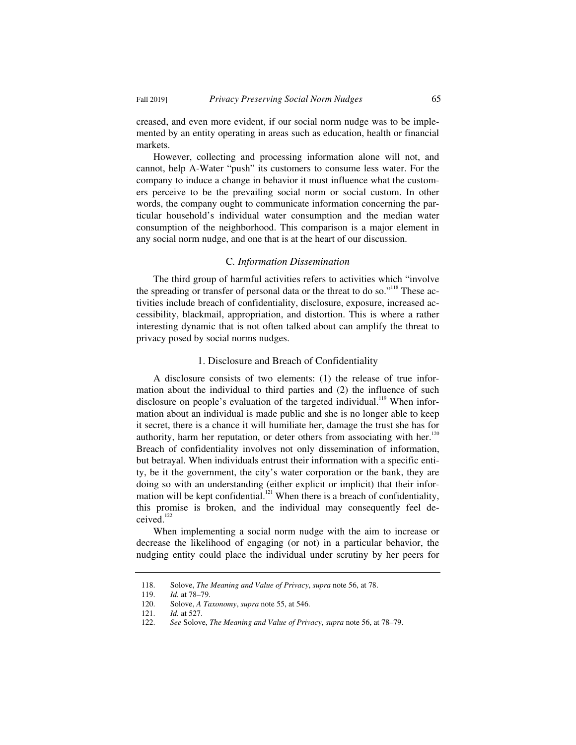creased, and even more evident, if our social norm nudge was to be implemented by an entity operating in areas such as education, health or financial markets.

However, collecting and processing information alone will not, and cannot, help A-Water "push" its customers to consume less water. For the company to induce a change in behavior it must influence what the customers perceive to be the prevailing social norm or social custom. In other words, the company ought to communicate information concerning the particular household's individual water consumption and the median water consumption of the neighborhood. This comparison is a major element in any social norm nudge, and one that is at the heart of our discussion.

## C*. Information Dissemination*

The third group of harmful activities refers to activities which "involve the spreading or transfer of personal data or the threat to do so."<sup>118</sup> These activities include breach of confidentiality, disclosure, exposure, increased accessibility, blackmail, appropriation, and distortion. This is where a rather interesting dynamic that is not often talked about can amplify the threat to privacy posed by social norms nudges.

### 1. Disclosure and Breach of Confidentiality

A disclosure consists of two elements: (1) the release of true information about the individual to third parties and (2) the influence of such disclosure on people's evaluation of the targeted individual.<sup>119</sup> When information about an individual is made public and she is no longer able to keep it secret, there is a chance it will humiliate her, damage the trust she has for authority, harm her reputation, or deter others from associating with her.<sup>120</sup> Breach of confidentiality involves not only dissemination of information, but betrayal. When individuals entrust their information with a specific entity, be it the government, the city's water corporation or the bank, they are doing so with an understanding (either explicit or implicit) that their information will be kept confidential.<sup>121</sup> When there is a breach of confidentiality, this promise is broken, and the individual may consequently feel deceived.<sup>122</sup>

When implementing a social norm nudge with the aim to increase or decrease the likelihood of engaging (or not) in a particular behavior, the nudging entity could place the individual under scrutiny by her peers for

 <sup>118.</sup> Solove, *The Meaning and Value of Privacy*, *supra* note 56, at 78.

 <sup>119.</sup> *Id.* at 78–79.

Solove, *A Taxonomy*, *supra* note 55, at 546.

 <sup>121.</sup> *Id.* at 527.

 <sup>122.</sup> *See* Solove, *The Meaning and Value of Privacy*, *supra* note 56, at 78–79.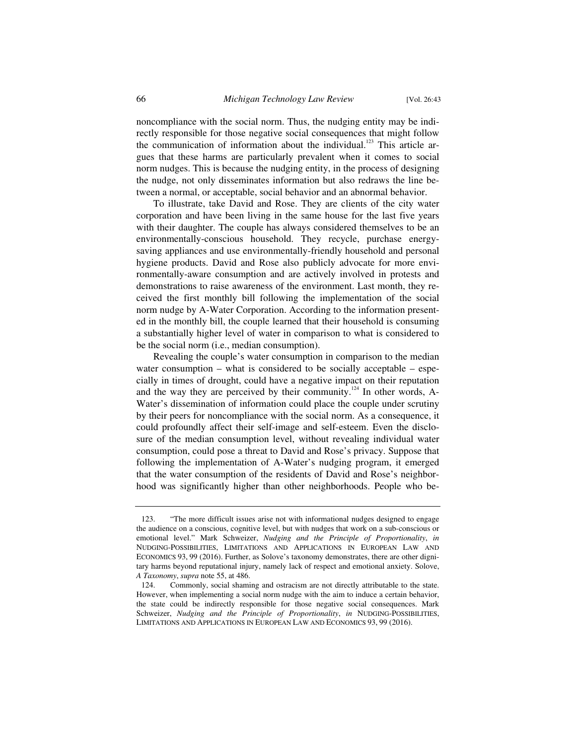noncompliance with the social norm. Thus, the nudging entity may be indirectly responsible for those negative social consequences that might follow the communication of information about the individual.<sup>123</sup> This article argues that these harms are particularly prevalent when it comes to social norm nudges. This is because the nudging entity, in the process of designing the nudge, not only disseminates information but also redraws the line between a normal, or acceptable, social behavior and an abnormal behavior.

To illustrate, take David and Rose. They are clients of the city water corporation and have been living in the same house for the last five years with their daughter. The couple has always considered themselves to be an environmentally-conscious household. They recycle, purchase energysaving appliances and use environmentally-friendly household and personal hygiene products. David and Rose also publicly advocate for more environmentally-aware consumption and are actively involved in protests and demonstrations to raise awareness of the environment. Last month, they received the first monthly bill following the implementation of the social norm nudge by A-Water Corporation. According to the information presented in the monthly bill, the couple learned that their household is consuming a substantially higher level of water in comparison to what is considered to be the social norm (i.e., median consumption).

Revealing the couple's water consumption in comparison to the median water consumption – what is considered to be socially acceptable – especially in times of drought, could have a negative impact on their reputation and the way they are perceived by their community.<sup>124</sup> In other words, A-Water's dissemination of information could place the couple under scrutiny by their peers for noncompliance with the social norm. As a consequence, it could profoundly affect their self-image and self-esteem. Even the disclosure of the median consumption level, without revealing individual water consumption, could pose a threat to David and Rose's privacy. Suppose that following the implementation of A-Water's nudging program, it emerged that the water consumption of the residents of David and Rose's neighborhood was significantly higher than other neighborhoods. People who be-

 <sup>123. &</sup>quot;The more difficult issues arise not with informational nudges designed to engage the audience on a conscious, cognitive level, but with nudges that work on a sub-conscious or emotional level." Mark Schweizer, *Nudging and the Principle of Proportionality*, *in* NUDGING-POSSIBILITIES, LIMITATIONS AND APPLICATIONS IN EUROPEAN LAW AND ECONOMICS 93, 99 (2016). Further, as Solove's taxonomy demonstrates, there are other dignitary harms beyond reputational injury, namely lack of respect and emotional anxiety. Solove, *A Taxonomy*, *supra* note 55, at 486.

 <sup>124.</sup> Commonly, social shaming and ostracism are not directly attributable to the state. However, when implementing a social norm nudge with the aim to induce a certain behavior, the state could be indirectly responsible for those negative social consequences. Mark Schweizer, *Nudging and the Principle of Proportionality*, *in* NUDGING-POSSIBILITIES, LIMITATIONS AND APPLICATIONS IN EUROPEAN LAW AND ECONOMICS 93, 99 (2016).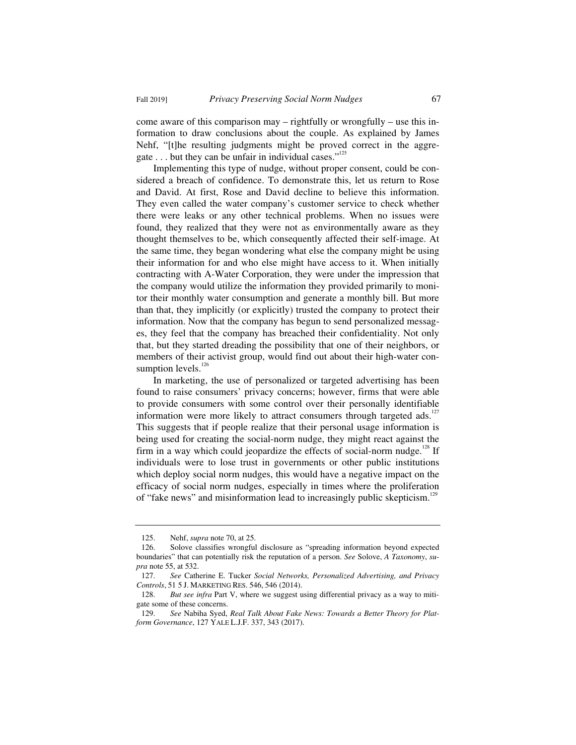come aware of this comparison may – rightfully or wrongfully – use this information to draw conclusions about the couple. As explained by James Nehf, "[t]he resulting judgments might be proved correct in the aggregate  $\dots$  but they can be unfair in individual cases."<sup>125</sup>

Implementing this type of nudge, without proper consent, could be considered a breach of confidence. To demonstrate this, let us return to Rose and David. At first, Rose and David decline to believe this information. They even called the water company's customer service to check whether there were leaks or any other technical problems. When no issues were found, they realized that they were not as environmentally aware as they thought themselves to be, which consequently affected their self-image. At the same time, they began wondering what else the company might be using their information for and who else might have access to it. When initially contracting with A-Water Corporation, they were under the impression that the company would utilize the information they provided primarily to monitor their monthly water consumption and generate a monthly bill. But more than that, they implicitly (or explicitly) trusted the company to protect their information. Now that the company has begun to send personalized messages, they feel that the company has breached their confidentiality. Not only that, but they started dreading the possibility that one of their neighbors, or members of their activist group, would find out about their high-water consumption levels.<sup>126</sup>

In marketing, the use of personalized or targeted advertising has been found to raise consumers' privacy concerns; however, firms that were able to provide consumers with some control over their personally identifiable information were more likely to attract consumers through targeted ads.<sup>127</sup> This suggests that if people realize that their personal usage information is being used for creating the social-norm nudge, they might react against the firm in a way which could jeopardize the effects of social-norm nudge.<sup>128</sup> If individuals were to lose trust in governments or other public institutions which deploy social norm nudges, this would have a negative impact on the efficacy of social norm nudges, especially in times where the proliferation of "fake news" and misinformation lead to increasingly public skepticism.<sup>129</sup>

 <sup>125.</sup> Nehf, *supra* note 70, at 25.

 <sup>126.</sup> Solove classifies wrongful disclosure as "spreading information beyond expected boundaries" that can potentially risk the reputation of a person. *See* Solove, *A Taxonomy*, *supra* note 55, at 532.

 <sup>127.</sup> *See* Catherine E. Tucker *Social Networks, Personalized Advertising, and Privacy Controls*, 51 5 J. MARKETING RES. 546, 546 (2014).

 <sup>128.</sup> *But see infra* Part V, where we suggest using differential privacy as a way to mitigate some of these concerns.

 <sup>129.</sup> *See* Nabiha Syed, *Real Talk About Fake News: Towards a Better Theory for Platform Governance*, 127 YALE L.J.F. 337, 343 (2017).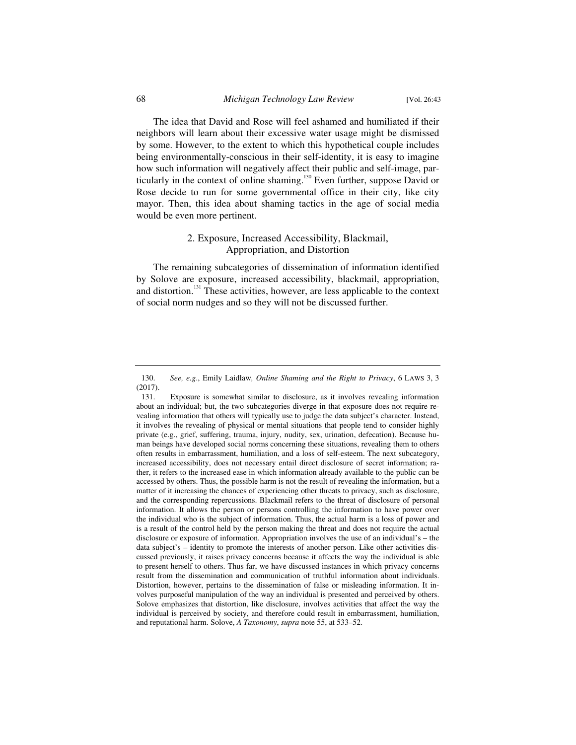The idea that David and Rose will feel ashamed and humiliated if their neighbors will learn about their excessive water usage might be dismissed by some. However, to the extent to which this hypothetical couple includes being environmentally-conscious in their self-identity, it is easy to imagine how such information will negatively affect their public and self-image, particularly in the context of online shaming.<sup>130</sup> Even further, suppose David or Rose decide to run for some governmental office in their city, like city mayor. Then, this idea about shaming tactics in the age of social media would be even more pertinent.

## 2. Exposure, Increased Accessibility, Blackmail, Appropriation, and Distortion

The remaining subcategories of dissemination of information identified by Solove are exposure, increased accessibility, blackmail, appropriation, and distortion.<sup>131</sup> These activities, however, are less applicable to the context of social norm nudges and so they will not be discussed further.

 <sup>130.</sup> *See, e.g*., Emily Laidlaw*, Online Shaming and the Right to Privacy*, 6 LAWS 3, 3 (2017).

 <sup>131.</sup> Exposure is somewhat similar to disclosure, as it involves revealing information about an individual; but, the two subcategories diverge in that exposure does not require revealing information that others will typically use to judge the data subject's character. Instead, it involves the revealing of physical or mental situations that people tend to consider highly private (e.g., grief, suffering, trauma, injury, nudity, sex, urination, defecation). Because human beings have developed social norms concerning these situations, revealing them to others often results in embarrassment, humiliation, and a loss of self-esteem. The next subcategory, increased accessibility, does not necessary entail direct disclosure of secret information; rather, it refers to the increased ease in which information already available to the public can be accessed by others. Thus, the possible harm is not the result of revealing the information, but a matter of it increasing the chances of experiencing other threats to privacy, such as disclosure, and the corresponding repercussions. Blackmail refers to the threat of disclosure of personal information. It allows the person or persons controlling the information to have power over the individual who is the subject of information. Thus, the actual harm is a loss of power and is a result of the control held by the person making the threat and does not require the actual disclosure or exposure of information. Appropriation involves the use of an individual's – the data subject's – identity to promote the interests of another person. Like other activities discussed previously, it raises privacy concerns because it affects the way the individual is able to present herself to others. Thus far, we have discussed instances in which privacy concerns result from the dissemination and communication of truthful information about individuals. Distortion, however, pertains to the dissemination of false or misleading information. It involves purposeful manipulation of the way an individual is presented and perceived by others. Solove emphasizes that distortion, like disclosure, involves activities that affect the way the individual is perceived by society, and therefore could result in embarrassment, humiliation, and reputational harm. Solove, *A Taxonomy*, *supra* note 55, at 533–52.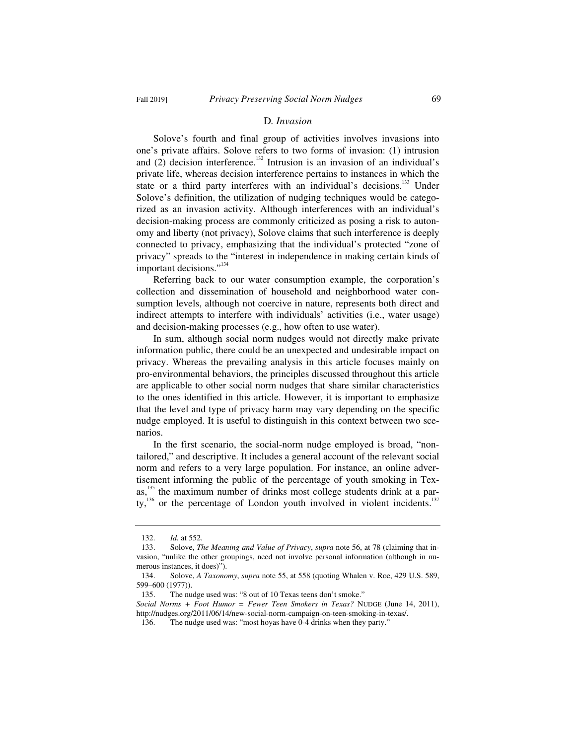#### D*. Invasion*

Solove's fourth and final group of activities involves invasions into one's private affairs. Solove refers to two forms of invasion: (1) intrusion and  $(2)$  decision interference.<sup>132</sup> Intrusion is an invasion of an individual's private life, whereas decision interference pertains to instances in which the state or a third party interferes with an individual's decisions.<sup>133</sup> Under Solove's definition, the utilization of nudging techniques would be categorized as an invasion activity. Although interferences with an individual's decision-making process are commonly criticized as posing a risk to autonomy and liberty (not privacy), Solove claims that such interference is deeply connected to privacy, emphasizing that the individual's protected "zone of privacy" spreads to the "interest in independence in making certain kinds of important decisions."<sup>134</sup>

Referring back to our water consumption example, the corporation's collection and dissemination of household and neighborhood water consumption levels, although not coercive in nature, represents both direct and indirect attempts to interfere with individuals' activities (i.e., water usage) and decision-making processes (e.g., how often to use water).

In sum, although social norm nudges would not directly make private information public, there could be an unexpected and undesirable impact on privacy. Whereas the prevailing analysis in this article focuses mainly on pro-environmental behaviors, the principles discussed throughout this article are applicable to other social norm nudges that share similar characteristics to the ones identified in this article. However, it is important to emphasize that the level and type of privacy harm may vary depending on the specific nudge employed. It is useful to distinguish in this context between two scenarios.

In the first scenario, the social-norm nudge employed is broad, "nontailored," and descriptive. It includes a general account of the relevant social norm and refers to a very large population. For instance, an online advertisement informing the public of the percentage of youth smoking in Texas, $135$  the maximum number of drinks most college students drink at a party,<sup>136</sup> or the percentage of London youth involved in violent incidents.<sup>137</sup>

 <sup>132.</sup> *Id.* at 552.

 <sup>133.</sup> Solove, *The Meaning and Value of Privacy*, *supra* note 56, at 78 (claiming that invasion, "unlike the other groupings, need not involve personal information (although in numerous instances, it does)").

 <sup>134.</sup> Solove, *A Taxonomy*, *supra* note 55, at 558 (quoting Whalen v. Roe, 429 U.S. 589, 599–600 (1977)).

 <sup>135.</sup> The nudge used was: "8 out of 10 Texas teens don't smoke."

*Social Norms + Foot Humor = Fewer Teen Smokers in Texas?* NUDGE (June 14, 2011), http://nudges.org/2011/06/14/new-social-norm-campaign-on-teen-smoking-in-texas/.

 <sup>136.</sup> The nudge used was: "most hoyas have 0-4 drinks when they party."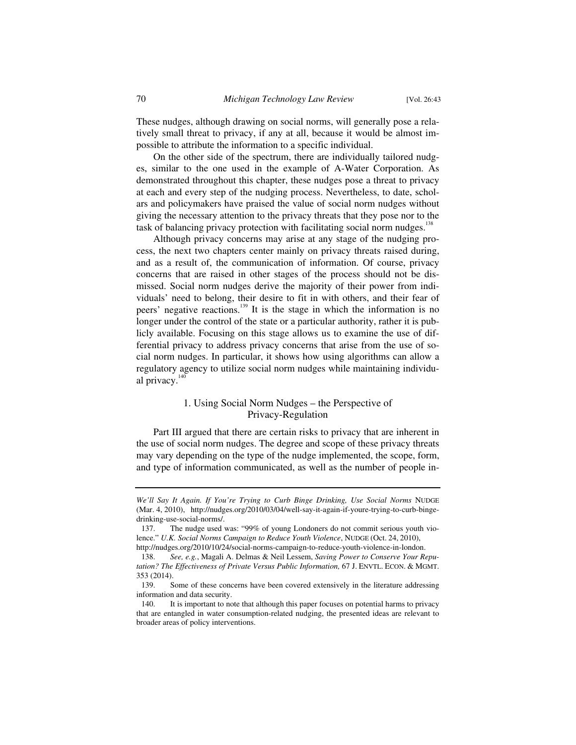These nudges, although drawing on social norms, will generally pose a relatively small threat to privacy, if any at all, because it would be almost impossible to attribute the information to a specific individual.

On the other side of the spectrum, there are individually tailored nudges, similar to the one used in the example of A-Water Corporation. As demonstrated throughout this chapter, these nudges pose a threat to privacy at each and every step of the nudging process. Nevertheless, to date, scholars and policymakers have praised the value of social norm nudges without giving the necessary attention to the privacy threats that they pose nor to the task of balancing privacy protection with facilitating social norm nudges.<sup>138</sup>

Although privacy concerns may arise at any stage of the nudging process, the next two chapters center mainly on privacy threats raised during, and as a result of, the communication of information. Of course, privacy concerns that are raised in other stages of the process should not be dismissed. Social norm nudges derive the majority of their power from individuals' need to belong, their desire to fit in with others, and their fear of peers' negative reactions.<sup>139</sup> It is the stage in which the information is no longer under the control of the state or a particular authority, rather it is publicly available. Focusing on this stage allows us to examine the use of differential privacy to address privacy concerns that arise from the use of social norm nudges. In particular, it shows how using algorithms can allow a regulatory agency to utilize social norm nudges while maintaining individual privacy.<sup>14</sup>

## 1. Using Social Norm Nudges – the Perspective of Privacy-Regulation

Part III argued that there are certain risks to privacy that are inherent in the use of social norm nudges. The degree and scope of these privacy threats may vary depending on the type of the nudge implemented, the scope, form, and type of information communicated, as well as the number of people in-

*We'll Say It Again. If You're Trying to Curb Binge Drinking, Use Social Norms* NUDGE (Mar. 4, 2010), http://nudges.org/2010/03/04/well-say-it-again-if-youre-trying-to-curb-bingedrinking-use-social-norms/.

 <sup>137.</sup> The nudge used was: "99% of young Londoners do not commit serious youth violence." *U.K. Social Norms Campaign to Reduce Youth Violence*, NUDGE (Oct. 24, 2010), http://nudges.org/2010/10/24/social-norms-campaign-to-reduce-youth-violence-in-london.

 <sup>138.</sup> *See, e.g.*, Magali A. Delmas & Neil Lessem, *Saving Power to Conserve Your Reputation? The Effectiveness of Private Versus Public Information,* 67 J. ENVTL. ECON.&MGMT. 353 (2014).

 <sup>139.</sup> Some of these concerns have been covered extensively in the literature addressing information and data security.

 <sup>140.</sup> It is important to note that although this paper focuses on potential harms to privacy that are entangled in water consumption-related nudging, the presented ideas are relevant to broader areas of policy interventions.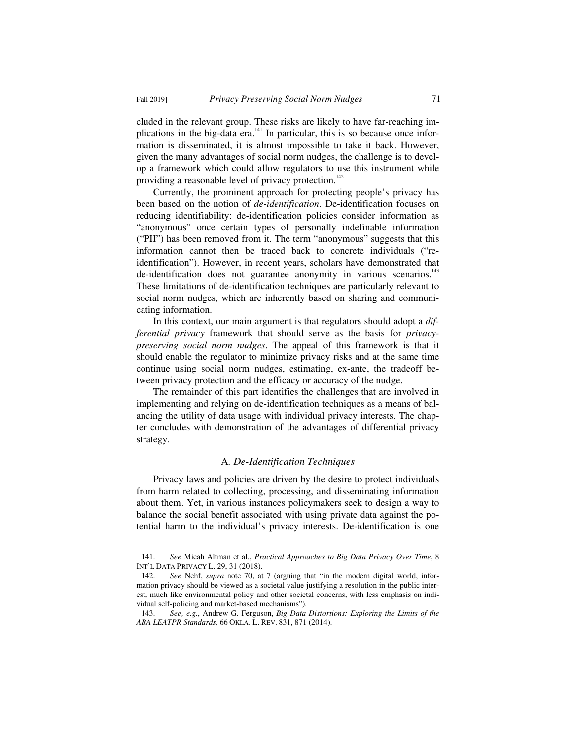cluded in the relevant group. These risks are likely to have far-reaching implications in the big-data era.<sup>141</sup> In particular, this is so because once information is disseminated, it is almost impossible to take it back. However, given the many advantages of social norm nudges, the challenge is to develop a framework which could allow regulators to use this instrument while providing a reasonable level of privacy protection.<sup>142</sup>

Currently, the prominent approach for protecting people's privacy has been based on the notion of *de-identification*. De-identification focuses on reducing identifiability: de-identification policies consider information as "anonymous" once certain types of personally indefinable information ("PII") has been removed from it. The term "anonymous" suggests that this information cannot then be traced back to concrete individuals ("reidentification"). However, in recent years, scholars have demonstrated that de-identification does not guarantee anonymity in various scenarios.<sup>143</sup> These limitations of de-identification techniques are particularly relevant to social norm nudges, which are inherently based on sharing and communicating information.

In this context, our main argument is that regulators should adopt a *differential privacy* framework that should serve as the basis for *privacypreserving social norm nudges*. The appeal of this framework is that it should enable the regulator to minimize privacy risks and at the same time continue using social norm nudges, estimating, ex-ante, the tradeoff between privacy protection and the efficacy or accuracy of the nudge.

The remainder of this part identifies the challenges that are involved in implementing and relying on de-identification techniques as a means of balancing the utility of data usage with individual privacy interests. The chapter concludes with demonstration of the advantages of differential privacy strategy.

#### A*. De-Identification Techniques*

Privacy laws and policies are driven by the desire to protect individuals from harm related to collecting, processing, and disseminating information about them. Yet, in various instances policymakers seek to design a way to balance the social benefit associated with using private data against the potential harm to the individual's privacy interests. De-identification is one

 <sup>141.</sup> *See* Micah Altman et al., *Practical Approaches to Big Data Privacy Over Time*, 8 INT'L DATA PRIVACY L. 29, 31 (2018).

 <sup>142.</sup> *See* Nehf, *supra* note 70, at 7 (arguing that "in the modern digital world, information privacy should be viewed as a societal value justifying a resolution in the public interest, much like environmental policy and other societal concerns, with less emphasis on individual self-policing and market-based mechanisms").

 <sup>143.</sup> *See, e.g.*, Andrew G. Ferguson, *Big Data Distortions: Exploring the Limits of the ABA LEATPR Standards,* 66 OKLA. L. REV. 831, 871 (2014).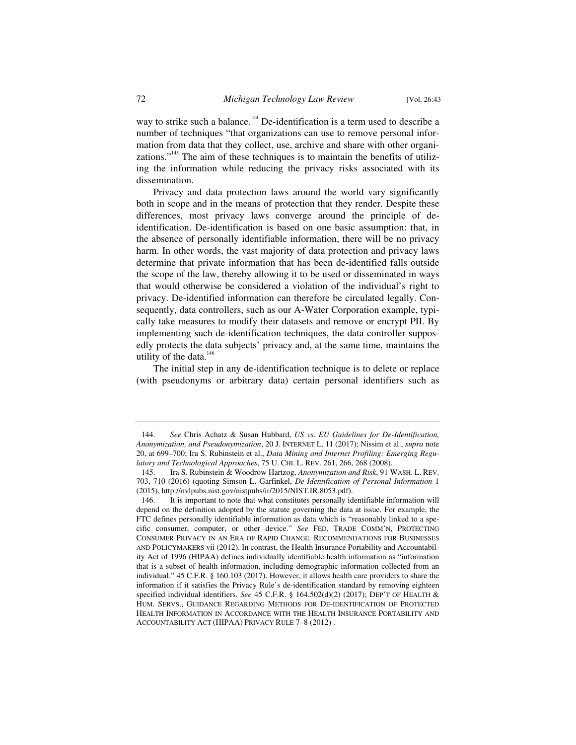way to strike such a balance.<sup>144</sup> De-identification is a term used to describe a number of techniques "that organizations can use to remove personal information from data that they collect, use, archive and share with other organizations."<sup>145</sup> The aim of these techniques is to maintain the benefits of utilizing the information while reducing the privacy risks associated with its dissemination.

Privacy and data protection laws around the world vary significantly both in scope and in the means of protection that they render. Despite these differences, most privacy laws converge around the principle of deidentification. De-identification is based on one basic assumption: that, in the absence of personally identifiable information, there will be no privacy harm. In other words, the vast majority of data protection and privacy laws determine that private information that has been de-identified falls outside the scope of the law, thereby allowing it to be used or disseminated in ways that would otherwise be considered a violation of the individual's right to privacy. De-identified information can therefore be circulated legally. Consequently, data controllers, such as our A-Water Corporation example, typically take measures to modify their datasets and remove or encrypt PII. By implementing such de-identification techniques, the data controller supposedly protects the data subjects' privacy and, at the same time, maintains the utility of the data. $146$ 

The initial step in any de-identification technique is to delete or replace (with pseudonyms or arbitrary data) certain personal identifiers such as

 <sup>144.</sup> *See* Chris Achatz & Susan Hubbard, *US vs. EU Guidelines for De-Identification, Anonymization, and Pseudonymization*, 20 J. INTERNET L. 11 (2017); Nissim et al., *supra* note 20, at 699–700; Ira S. Rubinstein et al., *Data Mining and Internet Profiling: Emerging Regulatory and Technological Approaches*, 75 U. CHI. L. REV. 261, 266, 268 (2008).

 <sup>145.</sup> Ira S. Rubinstein & Woodrow Hartzog, *Anonymization and Risk*, 91 WASH. L. REV. 703, 710 (2016) (quoting Simson L. Garfinkel, *De-Identification of Personal Information* 1 (2015), http://nvlpubs.nist.gov/nistpubs/ir/2015/NIST.IR.8053.pdf).

 <sup>146.</sup> It is important to note that what constitutes personally identifiable information will depend on the definition adopted by the statute governing the data at issue. For example, the FTC defines personally identifiable information as data which is "reasonably linked to a specific consumer, computer, or other device." *See* FED. TRADE COMM'N, PROTECTING CONSUMER PRIVACY IN AN ERA OF RAPID CHANGE: RECOMMENDATIONS FOR BUSINESSES AND POLICYMAKERS vii (2012). In contrast, the Health Insurance Portability and Accountability Act of 1996 (HIPAA) defines individually identifiable health information as "information that is a subset of health information, including demographic information collected from an individual." 45 C.F.R. § 160.103 (2017). However, it allows health care providers to share the information if it satisfies the Privacy Rule's de-identification standard by removing eighteen specified individual identifiers. *See* 45 C.F.R. § 164.502(d)(2) (2017); DEP'T OF HEALTH & HUM. SERVS., GUIDANCE REGARDING METHODS FOR DE-IDENTIFICATION OF PROTECTED HEALTH INFORMATION IN ACCORDANCE WITH THE HEALTH INSURANCE PORTABILITY AND ACCOUNTABILITY ACT (HIPAA) PRIVACY RULE 7–8 (2012) .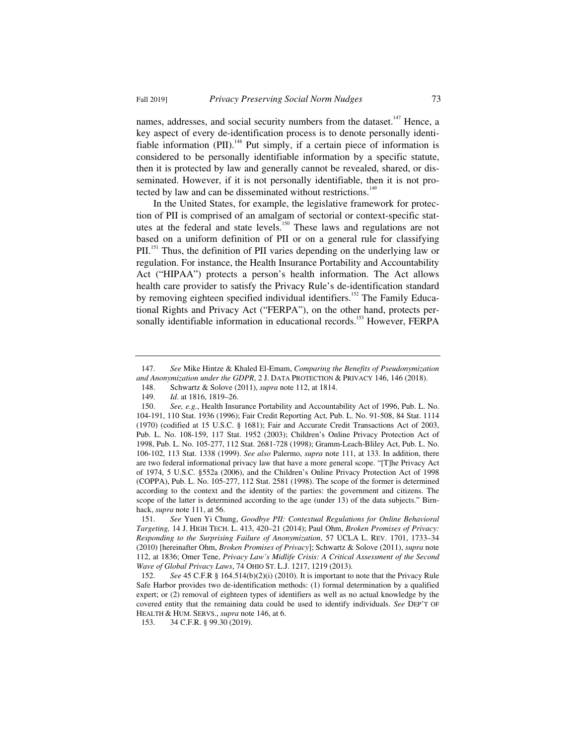names, addresses, and social security numbers from the dataset.<sup>147</sup> Hence, a key aspect of every de-identification process is to denote personally identifiable information (PII).<sup>148</sup> Put simply, if a certain piece of information is considered to be personally identifiable information by a specific statute, then it is protected by law and generally cannot be revealed, shared, or disseminated. However, if it is not personally identifiable, then it is not protected by law and can be disseminated without restrictions.<sup>149</sup>

In the United States, for example, the legislative framework for protection of PII is comprised of an amalgam of sectorial or context-specific statutes at the federal and state levels.<sup>150</sup> These laws and regulations are not based on a uniform definition of PII or on a general rule for classifying PII.<sup>151</sup> Thus, the definition of PII varies depending on the underlying law or regulation. For instance, the Health Insurance Portability and Accountability Act ("HIPAA") protects a person's health information. The Act allows health care provider to satisfy the Privacy Rule's de-identification standard by removing eighteen specified individual identifiers.<sup>152</sup> The Family Educational Rights and Privacy Act ("FERPA"), on the other hand, protects personally identifiable information in educational records.<sup>153</sup> However, FERPA

 <sup>147.</sup> *See* Mike Hintze & Khaled El-Emam, *Comparing the Benefits of Pseudonymization and Anonymization under the GDPR*, 2 J. DATA PROTECTION & PRIVACY 146, 146 (2018).

 <sup>148.</sup> Schwartz & Solove (2011), *supra* note 112, at 1814.

 <sup>149.</sup> *Id.* at 1816, 1819–26.

 <sup>150.</sup> *See, e.g.*, Health Insurance Portability and Accountability Act of 1996, Pub. L. No. 104-191, 110 Stat. 1936 (1996); Fair Credit Reporting Act, Pub. L. No. 91-508, 84 Stat. 1114 (1970) (codified at 15 U.S.C. § 1681); Fair and Accurate Credit Transactions Act of 2003, Pub. L. No. 108-159, 117 Stat. 1952 (2003); Children's Online Privacy Protection Act of 1998, Pub. L. No. 105-277, 112 Stat. 2681-728 (1998); Gramm-Leach-Bliley Act, Pub. L. No. 106-102, 113 Stat. 1338 (1999). *See also* Palermo, *supra* note 111, at 133. In addition, there are two federal informational privacy law that have a more general scope. "[T]he Privacy Act of 1974, 5 U.S.C. §552a (2006), and the Children's Online Privacy Protection Act of 1998 (COPPA), Pub. L. No. 105-277, 112 Stat. 2581 (1998). The scope of the former is determined according to the context and the identity of the parties: the government and citizens. The scope of the latter is determined according to the age (under 13) of the data subjects." Birnhack, *supra* note 111, at 56.

 <sup>151.</sup> *See* Yuen Yi Chung, *Goodbye PII: Contextual Regulations for Online Behavioral Targeting,* 14 J. HIGH TECH. L. 413, 420–21 (2014); Paul Ohm, *Broken Promises of Privacy: Responding to the Surprising Failure of Anonymization*, 57 UCLA L. REV. 1701, 1733–34 (2010) [hereinafter Ohm, *Broken Promises of Privacy*]; Schwartz & Solove (2011), *supra* note 112, at 1836; Omer Tene, *Privacy Law's Midlife Crisis: A Critical Assessment of the Second Wave of Global Privacy Laws*, 74 OHIO ST. L.J. 1217, 1219 (2013).

 <sup>152.</sup> *See* 45 C.F.R § 164.514(b)(2)(i) (2010). It is important to note that the Privacy Rule Safe Harbor provides two de-identification methods: (1) formal determination by a qualified expert; or (2) removal of eighteen types of identifiers as well as no actual knowledge by the covered entity that the remaining data could be used to identify individuals. *See* DEP'T OF HEALTH & HUM. SERVS., *supra* note 146, at 6.

 <sup>153. 34</sup> C.F.R. § 99.30 (2019).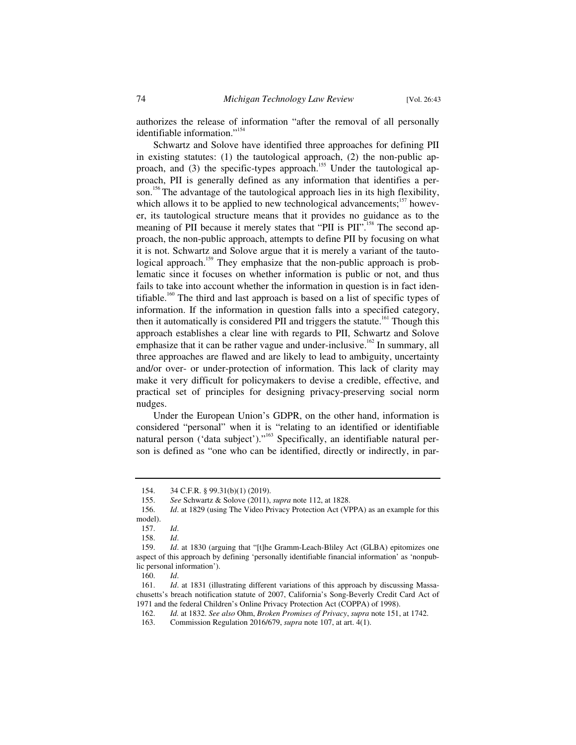authorizes the release of information "after the removal of all personally identifiable information."<sup>154</sup>

Schwartz and Solove have identified three approaches for defining PII in existing statutes: (1) the tautological approach, (2) the non-public approach, and (3) the specific-types approach.<sup>155</sup> Under the tautological approach, PII is generally defined as any information that identifies a person.<sup>156</sup> The advantage of the tautological approach lies in its high flexibility, which allows it to be applied to new technological advancements; $157$  however, its tautological structure means that it provides no guidance as to the meaning of PII because it merely states that "PII is PII".<sup>158</sup> The second approach, the non-public approach, attempts to define PII by focusing on what it is not. Schwartz and Solove argue that it is merely a variant of the tautological approach.<sup>159</sup> They emphasize that the non-public approach is problematic since it focuses on whether information is public or not, and thus fails to take into account whether the information in question is in fact identifiable.<sup>160</sup> The third and last approach is based on a list of specific types of information. If the information in question falls into a specified category, then it automatically is considered PII and triggers the statute.<sup>161</sup> Though this approach establishes a clear line with regards to PII, Schwartz and Solove emphasize that it can be rather vague and under-inclusive.<sup>162</sup> In summary, all three approaches are flawed and are likely to lead to ambiguity, uncertainty and/or over- or under-protection of information. This lack of clarity may make it very difficult for policymakers to devise a credible, effective, and practical set of principles for designing privacy-preserving social norm nudges.

Under the European Union's GDPR, on the other hand, information is considered "personal" when it is "relating to an identified or identifiable natural person ('data subject')."<sup>163</sup> Specifically, an identifiable natural person is defined as "one who can be identified, directly or indirectly, in par-

 <sup>154. 34</sup> C.F.R. § 99.31(b)(1) (2019).

 <sup>155.</sup> *See* Schwartz & Solove (2011), *supra* note 112, at 1828.

 <sup>156.</sup> *Id*. at 1829 (using The Video Privacy Protection Act (VPPA) as an example for this model).

 <sup>157.</sup> *Id*.

 <sup>158.</sup> *Id*.

 <sup>159.</sup> *Id*. at 1830 (arguing that "[t]he Gramm-Leach-Bliley Act (GLBA) epitomizes one aspect of this approach by defining 'personally identifiable financial information' as 'nonpublic personal information').

 <sup>160.</sup> *Id*.

 <sup>161.</sup> *Id*. at 1831 (illustrating different variations of this approach by discussing Massachusetts's breach notification statute of 2007, California's Song-Beverly Credit Card Act of 1971 and the federal Children's Online Privacy Protection Act (COPPA) of 1998).

 <sup>162.</sup> *Id.* at 1832. *See also* Ohm, *Broken Promises of Privacy*, *supra* note 151, at 1742.

 <sup>163.</sup> Commission Regulation 2016/679, *supra* note 107, at art. 4(1).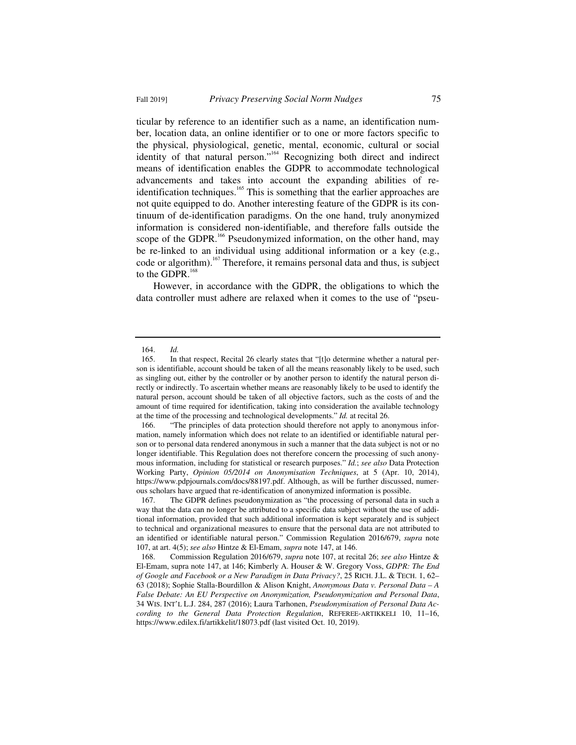ticular by reference to an identifier such as a name, an identification number, location data, an online identifier or to one or more factors specific to the physical, physiological, genetic, mental, economic, cultural or social identity of that natural person."164 Recognizing both direct and indirect means of identification enables the GDPR to accommodate technological advancements and takes into account the expanding abilities of reidentification techniques.<sup>165</sup> This is something that the earlier approaches are not quite equipped to do. Another interesting feature of the GDPR is its continuum of de-identification paradigms. On the one hand, truly anonymized information is considered non-identifiable, and therefore falls outside the scope of the GDPR.<sup>166</sup> Pseudonymized information, on the other hand, may be re-linked to an individual using additional information or a key (e.g., code or algorithm).<sup>167</sup> Therefore, it remains personal data and thus, is subject to the GDPR.<sup>168</sup>

However, in accordance with the GDPR, the obligations to which the data controller must adhere are relaxed when it comes to the use of "pseu-

 <sup>164.</sup> *Id.*

 <sup>165.</sup> In that respect, Recital 26 clearly states that "[t]o determine whether a natural person is identifiable, account should be taken of all the means reasonably likely to be used, such as singling out, either by the controller or by another person to identify the natural person directly or indirectly. To ascertain whether means are reasonably likely to be used to identify the natural person, account should be taken of all objective factors, such as the costs of and the amount of time required for identification, taking into consideration the available technology at the time of the processing and technological developments." *Id.* at recital 26.

 <sup>166. &</sup>quot;The principles of data protection should therefore not apply to anonymous information, namely information which does not relate to an identified or identifiable natural person or to personal data rendered anonymous in such a manner that the data subject is not or no longer identifiable. This Regulation does not therefore concern the processing of such anonymous information, including for statistical or research purposes." *Id.*; *see also* Data Protection Working Party, *Opinion 05/2014 on Anonymisation Techniques*, at 5 (Apr. 10, 2014), https://www.pdpjournals.com/docs/88197.pdf. Although, as will be further discussed, numerous scholars have argued that re-identification of anonymized information is possible.

 <sup>167.</sup> The GDPR defines pseudonymization as "the processing of personal data in such a way that the data can no longer be attributed to a specific data subject without the use of additional information, provided that such additional information is kept separately and is subject to technical and organizational measures to ensure that the personal data are not attributed to an identified or identifiable natural person." Commission Regulation 2016/679, *supra* note 107, at art. 4(5); *see also* Hintze & El-Emam, *supra* note 147, at 146.

 <sup>168.</sup> Commission Regulation 2016/679, *supra* note 107, at recital 26; *see also* Hintze & El-Emam, supra note 147, at 146; Kimberly A. Houser & W. Gregory Voss, *GDPR: The End of Google and Facebook or a New Paradigm in Data Privacy?*, 25 RICH. J.L. & TECH. 1, 62– 63 (2018); Sophie Stalla-Bourdillon & Alison Knight, *Anonymous Data v. Personal Data – A False Debate: An EU Perspective on Anonymization, Pseudonymization and Personal Data*, 34 WIS. INT'L L.J. 284, 287 (2016); Laura Tarhonen, *Pseudonymisation of Personal Data According to the General Data Protection Regulation*, REFEREE-ARTIKKELI 10, 11–16, https://www.edilex.fi/artikkelit/18073.pdf (last visited Oct. 10, 2019).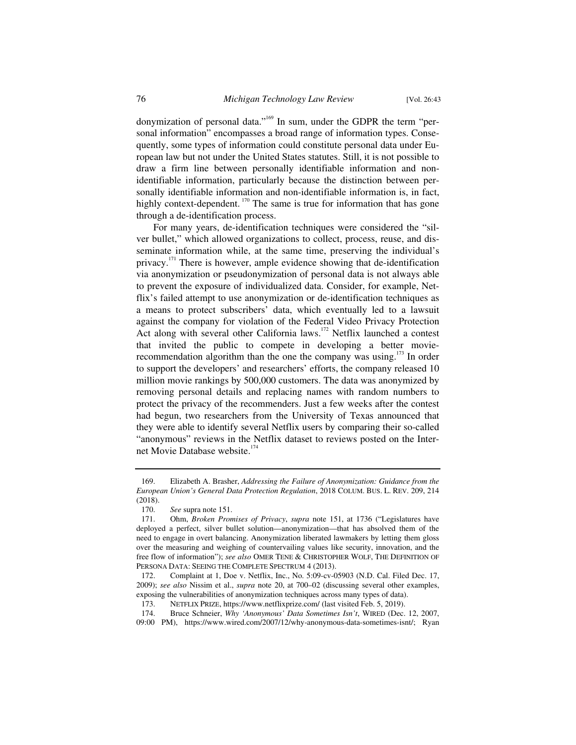donymization of personal data."<sup>169</sup> In sum, under the GDPR the term "personal information" encompasses a broad range of information types. Consequently, some types of information could constitute personal data under European law but not under the United States statutes. Still, it is not possible to draw a firm line between personally identifiable information and nonidentifiable information, particularly because the distinction between personally identifiable information and non-identifiable information is, in fact, highly context-dependent. <sup>170</sup> The same is true for information that has gone through a de-identification process.

For many years, de-identification techniques were considered the "silver bullet," which allowed organizations to collect, process, reuse, and disseminate information while, at the same time, preserving the individual's privacy.<sup>171</sup> There is however, ample evidence showing that de-identification via anonymization or pseudonymization of personal data is not always able to prevent the exposure of individualized data. Consider, for example, Netflix's failed attempt to use anonymization or de-identification techniques as a means to protect subscribers' data, which eventually led to a lawsuit against the company for violation of the Federal Video Privacy Protection Act along with several other California laws.<sup>172</sup> Netflix launched a contest that invited the public to compete in developing a better movierecommendation algorithm than the one the company was using. $173$  In order to support the developers' and researchers' efforts, the company released 10 million movie rankings by 500,000 customers. The data was anonymized by removing personal details and replacing names with random numbers to protect the privacy of the recommenders. Just a few weeks after the contest had begun, two researchers from the University of Texas announced that they were able to identify several Netflix users by comparing their so-called "anonymous" reviews in the Netflix dataset to reviews posted on the Internet Movie Database website.<sup>174</sup>

 <sup>169.</sup> Elizabeth A. Brasher, *Addressing the Failure of Anonymization: Guidance from the European Union's General Data Protection Regulation*, 2018 COLUM. BUS. L. REV. 209, 214 (2018).

 <sup>170.</sup> *See* supra note 151.

 <sup>171.</sup> Ohm, *Broken Promises of Privacy*, *supra* note 151, at 1736 ("Legislatures have deployed a perfect, silver bullet solution—anonymization—that has absolved them of the need to engage in overt balancing. Anonymization liberated lawmakers by letting them gloss over the measuring and weighing of countervailing values like security, innovation, and the free flow of information"); *see also* OMER TENE & CHRISTOPHER WOLF, THE DEFINITION OF PERSONA DATA: SEEING THE COMPLETE SPECTRUM 4 (2013).

 <sup>172.</sup> Complaint at 1, Doe v. Netflix, Inc., No. 5:09-cv-05903 (N.D. Cal. Filed Dec. 17, 2009); *see also* Nissim et al., *supra* note 20, at 700–02 (discussing several other examples, exposing the vulnerabilities of anonymization techniques across many types of data).

 <sup>173.</sup> NETFLIX PRIZE, https://www.netflixprize.com/ (last visited Feb. 5, 2019).

 <sup>174.</sup> Bruce Schneier, *Why 'Anonymous' Data Sometimes Isn't*, WIRED (Dec. 12, 2007, 09:00 PM), https://www.wired.com/2007/12/why-anonymous-data-sometimes-isnt/; Ryan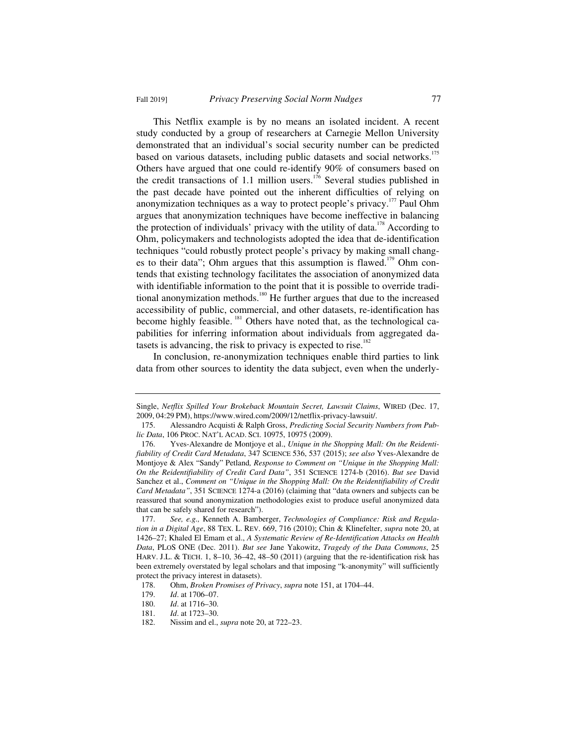This Netflix example is by no means an isolated incident. A recent study conducted by a group of researchers at Carnegie Mellon University demonstrated that an individual's social security number can be predicted based on various datasets, including public datasets and social networks.<sup>175</sup> Others have argued that one could re-identify 90% of consumers based on the credit transactions of 1.1 million users.<sup>176</sup> Several studies published in the past decade have pointed out the inherent difficulties of relying on anonymization techniques as a way to protect people's privacy.<sup>177</sup> Paul Ohm argues that anonymization techniques have become ineffective in balancing the protection of individuals' privacy with the utility of data.<sup>178</sup> According to Ohm, policymakers and technologists adopted the idea that de-identification techniques "could robustly protect people's privacy by making small changes to their data"; Ohm argues that this assumption is flawed.<sup>179</sup> Ohm contends that existing technology facilitates the association of anonymized data with identifiable information to the point that it is possible to override traditional anonymization methods.<sup>180</sup> He further argues that due to the increased accessibility of public, commercial, and other datasets, re-identification has become highly feasible. <sup>181</sup> Others have noted that, as the technological capabilities for inferring information about individuals from aggregated datasets is advancing, the risk to privacy is expected to rise.<sup>182</sup>

In conclusion, re-anonymization techniques enable third parties to link data from other sources to identity the data subject, even when the underly-

Single, *Netflix Spilled Your Brokeback Mountain Secret, Lawsuit Claims*, WIRED (Dec. 17, 2009, 04:29 PM), https://www.wired.com/2009/12/netflix-privacy-lawsuit/.

 <sup>175.</sup> Alessandro Acquisti & Ralph Gross, *Predicting Social Security Numbers from Public Data*, 106 PROC. NAT'L ACAD. SCI. 10975, 10975 (2009).

 <sup>176.</sup> Yves-Alexandre de Montjoye et al., *Unique in the Shopping Mall: On the Reidentifiability of Credit Card Metadata*, 347 SCIENCE 536, 537 (2015); *see also* Yves-Alexandre de Montjoye & Alex "Sandy" Petland*, Response to Comment on "Unique in the Shopping Mall: On the Reidentifiability of Credit Card Data"*, 351 SCIENCE 1274-b (2016). *But see* David Sanchez et al., *Comment on "Unique in the Shopping Mall: On the Reidentifiability of Credit Card Metadata"*, 351 SCIENCE 1274-a (2016) (claiming that "data owners and subjects can be reassured that sound anonymization methodologies exist to produce useful anonymized data that can be safely shared for research").

 <sup>177.</sup> *See, e.g.,* Kenneth A. Bamberger, *Technologies of Compliance: Risk and Regulation in a Digital Age*, 88 TEX. L. REV. 669, 716 (2010); Chin & Klinefelter, *supra* note 20, at 1426–27; Khaled El Emam et al., *A Systematic Review of Re-Identification Attacks on Health Data*, PLOS ONE (Dec. 2011). *But see* Jane Yakowitz, *Tragedy of the Data Commons*, 25 HARV. J.L. & TECH. 1, 8–10, 36–42, 48–50 (2011) (arguing that the re-identification risk has been extremely overstated by legal scholars and that imposing "k-anonymity" will sufficiently protect the privacy interest in datasets).

 <sup>178.</sup> Ohm, *Broken Promises of Privacy*, *supra* note 151, at 1704–44.

<sup>179.</sup> *Id.* at 1706–07.<br>180. *Id.* at 1716–30.

*Id.* at 1716–30.

 <sup>181.</sup> *Id*. at 1723–30.

 <sup>182.</sup> Nissim and el., *supra* note 20, at 722–23.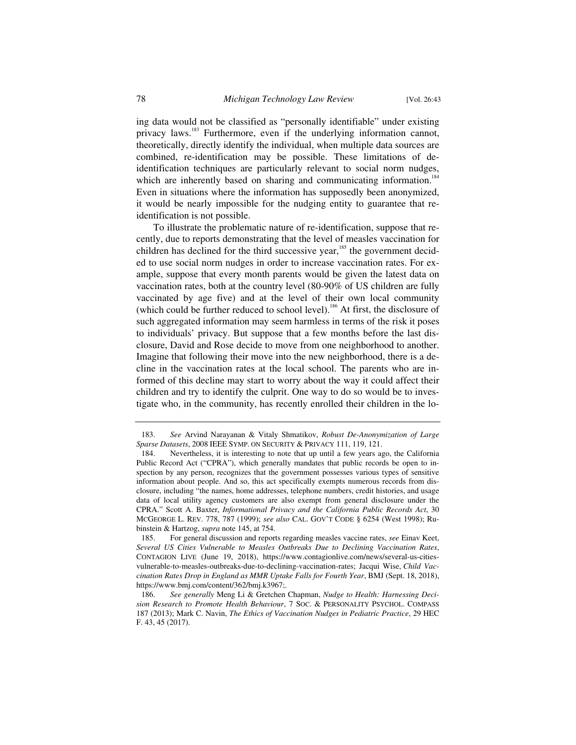ing data would not be classified as "personally identifiable" under existing privacy laws.<sup>183</sup> Furthermore, even if the underlying information cannot, theoretically, directly identify the individual, when multiple data sources are combined, re-identification may be possible. These limitations of deidentification techniques are particularly relevant to social norm nudges, which are inherently based on sharing and communicating information.<sup>184</sup> Even in situations where the information has supposedly been anonymized, it would be nearly impossible for the nudging entity to guarantee that reidentification is not possible.

To illustrate the problematic nature of re-identification, suppose that recently, due to reports demonstrating that the level of measles vaccination for children has declined for the third successive year,<sup>185</sup> the government decided to use social norm nudges in order to increase vaccination rates. For example, suppose that every month parents would be given the latest data on vaccination rates, both at the country level (80-90% of US children are fully vaccinated by age five) and at the level of their own local community (which could be further reduced to school level).<sup>186</sup> At first, the disclosure of such aggregated information may seem harmless in terms of the risk it poses to individuals' privacy. But suppose that a few months before the last disclosure, David and Rose decide to move from one neighborhood to another. Imagine that following their move into the new neighborhood, there is a decline in the vaccination rates at the local school. The parents who are informed of this decline may start to worry about the way it could affect their children and try to identify the culprit. One way to do so would be to investigate who, in the community, has recently enrolled their children in the lo-

 <sup>183.</sup> *See* Arvind Narayanan & Vitaly Shmatikov, *Robust De-Anonymization of Large Sparse Datasets*, 2008 IEEE SYMP. ON SECURITY & PRIVACY 111, 119, 121.

 <sup>184.</sup> Nevertheless, it is interesting to note that up until a few years ago, the California Public Record Act ("CPRA"), which generally mandates that public records be open to inspection by any person, recognizes that the government possesses various types of sensitive information about people. And so, this act specifically exempts numerous records from disclosure, including "the names, home addresses, telephone numbers, credit histories, and usage data of local utility agency customers are also exempt from general disclosure under the CPRA." Scott A. Baxter, *Informational Privacy and the California Public Records Act*, 30 MCGEORGE L. REV. 778, 787 (1999); *see also* CAL. GOV'T CODE § 6254 (West 1998); Rubinstein & Hartzog, *supra* note 145, at 754.

 <sup>185.</sup> For general discussion and reports regarding measles vaccine rates, *see* Einav Keet, *Several US Cities Vulnerable to Measles Outbreaks Due to Declining Vaccination Rates*, CONTAGION LIVE (June 19, 2018), https://www.contagionlive.com/news/several-us-citiesvulnerable-to-measles-outbreaks-due-to-declining-vaccination-rates; Jacqui Wise, *Child Vaccination Rates Drop in England as MMR Uptake Falls for Fourth Year*, BMJ (Sept. 18, 2018), https://www.bmj.com/content/362/bmj.k3967;.

 <sup>186.</sup> *See generally* Meng Li & Gretchen Chapman, *Nudge to Health: Harnessing Decision Research to Promote Health Behaviour*, 7 SOC.&PERSONALITY PSYCHOL. COMPASS 187 (2013); Mark C. Navin, *The Ethics of Vaccination Nudges in Pediatric Practice*, 29 HEC F. 43, 45 (2017).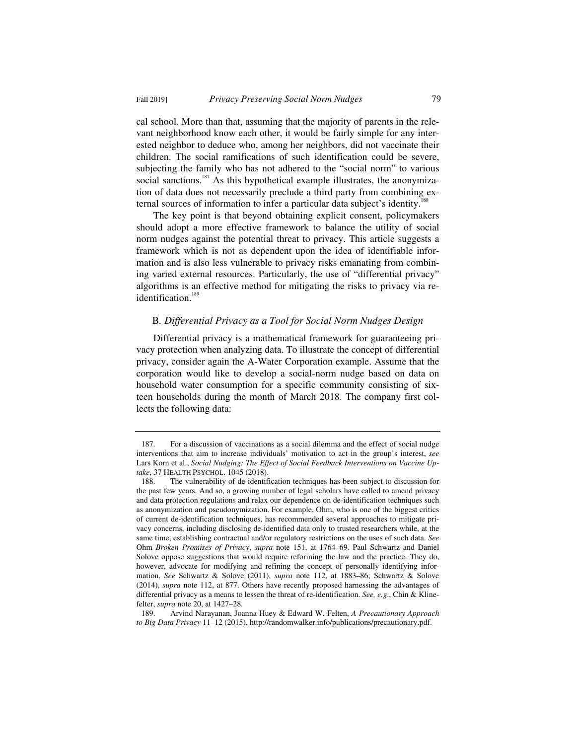cal school. More than that, assuming that the majority of parents in the relevant neighborhood know each other, it would be fairly simple for any interested neighbor to deduce who, among her neighbors, did not vaccinate their children. The social ramifications of such identification could be severe, subjecting the family who has not adhered to the "social norm" to various social sanctions.<sup>187</sup> As this hypothetical example illustrates, the anonymization of data does not necessarily preclude a third party from combining external sources of information to infer a particular data subject's identity.<sup>18</sup>

The key point is that beyond obtaining explicit consent, policymakers should adopt a more effective framework to balance the utility of social norm nudges against the potential threat to privacy. This article suggests a framework which is not as dependent upon the idea of identifiable information and is also less vulnerable to privacy risks emanating from combining varied external resources. Particularly, the use of "differential privacy" algorithms is an effective method for mitigating the risks to privacy via reidentification.<sup>189</sup>

## B*. Differential Privacy as a Tool for Social Norm Nudges Design*

Differential privacy is a mathematical framework for guaranteeing privacy protection when analyzing data. To illustrate the concept of differential privacy, consider again the A-Water Corporation example. Assume that the corporation would like to develop a social-norm nudge based on data on household water consumption for a specific community consisting of sixteen households during the month of March 2018. The company first collects the following data:

 <sup>187.</sup> For a discussion of vaccinations as a social dilemma and the effect of social nudge interventions that aim to increase individuals' motivation to act in the group's interest, *see* Lars Korn et al., *Social Nudging: The Effect of Social Feedback Interventions on Vaccine Uptake*, 37 HEALTH PSYCHOL. 1045 (2018).

 <sup>188.</sup> The vulnerability of de-identification techniques has been subject to discussion for the past few years. And so, a growing number of legal scholars have called to amend privacy and data protection regulations and relax our dependence on de-identification techniques such as anonymization and pseudonymization. For example, Ohm, who is one of the biggest critics of current de-identification techniques, has recommended several approaches to mitigate privacy concerns, including disclosing de-identified data only to trusted researchers while, at the same time, establishing contractual and/or regulatory restrictions on the uses of such data. *See*  Ohm *Broken Promises of Privacy*, *supra* note 151, at 1764–69. Paul Schwartz and Daniel Solove oppose suggestions that would require reforming the law and the practice. They do, however, advocate for modifying and refining the concept of personally identifying information. *See* Schwartz & Solove (2011), *supra* note 112, at 1883–86; Schwartz & Solove (2014), *supra* note 112, at 877. Others have recently proposed harnessing the advantages of differential privacy as a means to lessen the threat of re-identification. *See, e.g*., Chin & Klinefelter, *supra* note 20, at 1427–28.

 <sup>189.</sup> Arvind Narayanan, Joanna Huey & Edward W. Felten, *A Precautionary Approach to Big Data Privacy* 11–12 (2015), http://randomwalker.info/publications/precautionary.pdf.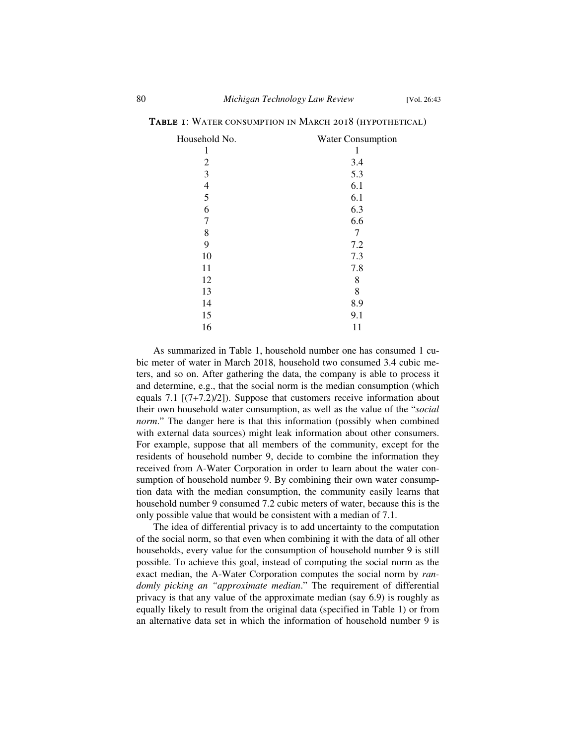| Household No.  | <b>Water Consumption</b> |
|----------------|--------------------------|
| 1              | 1                        |
| $\overline{2}$ | 3.4                      |
| 3              | 5.3                      |
| $\overline{4}$ | 6.1                      |
| 5              | 6.1                      |
| 6              | 6.3                      |
| 7              | 6.6                      |
| 8              | 7                        |
| 9              | 7.2                      |
| 10             | 7.3                      |
| 11             | 7.8                      |
| 12             | 8                        |
| 13             | 8                        |
| 14             | 8.9                      |
| 15             | 9.1                      |
| 16             | 11                       |

Table 1: Water consumption in March 2018 (hypothetical)

As summarized in Table 1, household number one has consumed 1 cubic meter of water in March 2018, household two consumed 3.4 cubic meters, and so on. After gathering the data, the company is able to process it and determine, e.g., that the social norm is the median consumption (which equals 7.1 [(7+7.2)/2]). Suppose that customers receive information about their own household water consumption, as well as the value of the "*social norm*." The danger here is that this information (possibly when combined with external data sources) might leak information about other consumers. For example, suppose that all members of the community, except for the residents of household number 9, decide to combine the information they received from A-Water Corporation in order to learn about the water consumption of household number 9. By combining their own water consumption data with the median consumption, the community easily learns that household number 9 consumed 7.2 cubic meters of water, because this is the only possible value that would be consistent with a median of 7.1.

The idea of differential privacy is to add uncertainty to the computation of the social norm, so that even when combining it with the data of all other households, every value for the consumption of household number 9 is still possible. To achieve this goal, instead of computing the social norm as the exact median, the A-Water Corporation computes the social norm by *randomly picking an "approximate median*." The requirement of differential privacy is that any value of the approximate median (say 6.9) is roughly as equally likely to result from the original data (specified in Table 1) or from an alternative data set in which the information of household number 9 is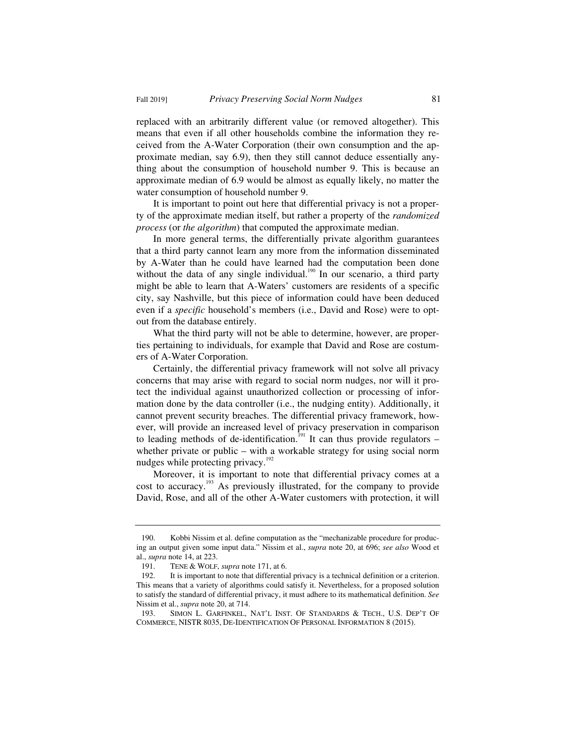replaced with an arbitrarily different value (or removed altogether). This means that even if all other households combine the information they received from the A-Water Corporation (their own consumption and the approximate median, say 6.9), then they still cannot deduce essentially anything about the consumption of household number 9. This is because an approximate median of 6.9 would be almost as equally likely, no matter the water consumption of household number 9.

It is important to point out here that differential privacy is not a property of the approximate median itself, but rather a property of the *randomized process* (or *the algorithm*) that computed the approximate median.

In more general terms, the differentially private algorithm guarantees that a third party cannot learn any more from the information disseminated by A-Water than he could have learned had the computation been done without the data of any single individual.<sup>190</sup> In our scenario, a third party might be able to learn that A-Waters' customers are residents of a specific city, say Nashville, but this piece of information could have been deduced even if a *specific* household's members (i.e., David and Rose) were to optout from the database entirely.

What the third party will not be able to determine, however, are properties pertaining to individuals, for example that David and Rose are costumers of A-Water Corporation.

Certainly, the differential privacy framework will not solve all privacy concerns that may arise with regard to social norm nudges, nor will it protect the individual against unauthorized collection or processing of information done by the data controller (i.e., the nudging entity). Additionally, it cannot prevent security breaches. The differential privacy framework, however, will provide an increased level of privacy preservation in comparison to leading methods of de-identification.<sup>191</sup> It can thus provide regulators – whether private or public – with a workable strategy for using social norm nudges while protecting privacy.<sup>192</sup>

Moreover, it is important to note that differential privacy comes at a cost to accuracy.193 As previously illustrated, for the company to provide David, Rose, and all of the other A-Water customers with protection, it will

 <sup>190.</sup> Kobbi Nissim et al. define computation as the "mechanizable procedure for producing an output given some input data." Nissim et al., *supra* note 20, at 696; *see also* Wood et al., *supra* note 14, at 223.

 <sup>191.</sup> TENE & WOLF, *supra* note 171, at 6.

 <sup>192.</sup> It is important to note that differential privacy is a technical definition or a criterion. This means that a variety of algorithms could satisfy it. Nevertheless, for a proposed solution to satisfy the standard of differential privacy, it must adhere to its mathematical definition. *See* Nissim et al., *supra* note 20, at 714.

 <sup>193.</sup> SIMON L. GARFINKEL, NAT'L INST. OF STANDARDS & TECH., U.S. DEP'T OF COMMERCE, NISTR 8035, DE-IDENTIFICATION OF PERSONAL INFORMATION 8 (2015).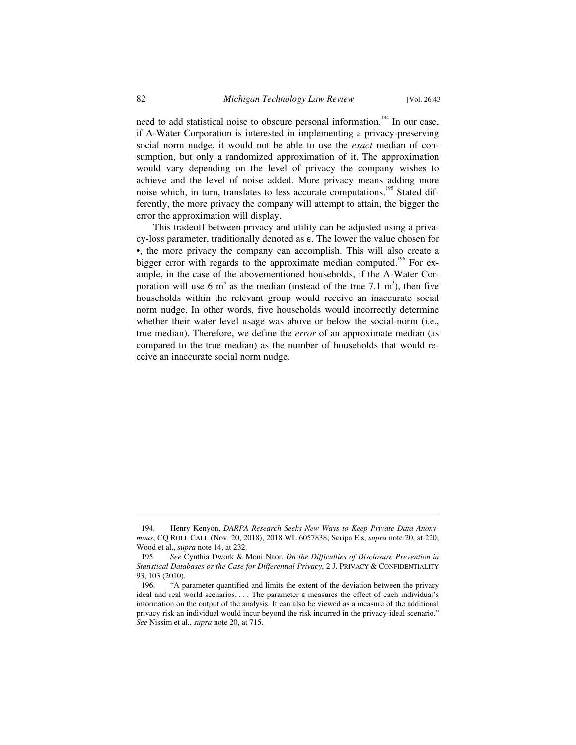need to add statistical noise to obscure personal information.<sup>194</sup> In our case, if A-Water Corporation is interested in implementing a privacy-preserving social norm nudge, it would not be able to use the *exact* median of consumption, but only a randomized approximation of it. The approximation would vary depending on the level of privacy the company wishes to achieve and the level of noise added. More privacy means adding more noise which, in turn, translates to less accurate computations.<sup>195</sup> Stated differently, the more privacy the company will attempt to attain, the bigger the error the approximation will display.

This tradeoff between privacy and utility can be adjusted using a privacy-loss parameter, traditionally denoted as  $\epsilon$ . The lower the value chosen for •, the more privacy the company can accomplish. This will also create a bigger error with regards to the approximate median computed.<sup>196</sup> For example, in the case of the abovementioned households, if the A-Water Corporation will use 6  $m^3$  as the median (instead of the true 7.1  $m^3$ ), then five households within the relevant group would receive an inaccurate social norm nudge. In other words, five households would incorrectly determine whether their water level usage was above or below the social-norm (i.e., true median). Therefore, we define the *error* of an approximate median (as compared to the true median) as the number of households that would receive an inaccurate social norm nudge.

 <sup>194.</sup> Henry Kenyon, *DARPA Research Seeks New Ways to Keep Private Data Anonymous*, CQ ROLL CALL (Nov. 20, 2018), 2018 WL 6057838; Scripa Els, *supra* note 20, at 220; Wood et al., *supra* note 14, at 232.

 <sup>195.</sup> *See* Cynthia Dwork & Moni Naor, *On the Difficulties of Disclosure Prevention in Statistical Databases or the Case for Differential Privacy*, 2 J. PRIVACY & CONFIDENTIALITY 93, 103 (2010).

 <sup>196. &</sup>quot;A parameter quantified and limits the extent of the deviation between the privacy ideal and real world scenarios. . . . The parameter  $\epsilon$  measures the effect of each individual's information on the output of the analysis. It can also be viewed as a measure of the additional privacy risk an individual would incur beyond the risk incurred in the privacy-ideal scenario." *See* Nissim et al., *supra* note 20, at 715.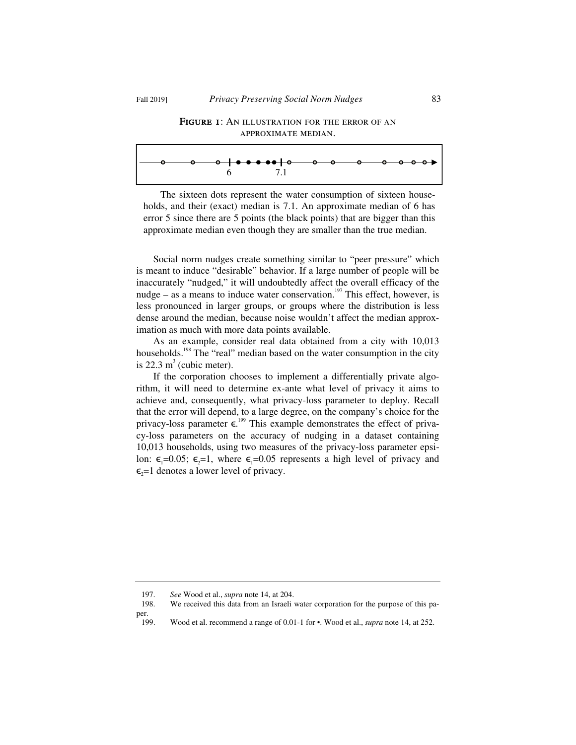

| 6 7.1 |  |  |
|-------|--|--|

The sixteen dots represent the water consumption of sixteen households, and their (exact) median is 7.1. An approximate median of 6 has error 5 since there are 5 points (the black points) that are bigger than this approximate median even though they are smaller than the true median.

Social norm nudges create something similar to "peer pressure" which is meant to induce "desirable" behavior. If a large number of people will be inaccurately "nudged," it will undoubtedly affect the overall efficacy of the nudge – as a means to induce water conservation.<sup>197</sup> This effect, however, is less pronounced in larger groups, or groups where the distribution is less dense around the median, because noise wouldn't affect the median approximation as much with more data points available.

As an example, consider real data obtained from a city with 10,013 households.<sup>198</sup> The "real" median based on the water consumption in the city is 22.3  $m<sup>3</sup>$  (cubic meter).

If the corporation chooses to implement a differentially private algorithm, it will need to determine ex-ante what level of privacy it aims to achieve and, consequently, what privacy-loss parameter to deploy. Recall that the error will depend, to a large degree, on the company's choice for the privacy-loss parameter  $\epsilon$ .<sup>199</sup> This example demonstrates the effect of privacy-loss parameters on the accuracy of nudging in a dataset containing 10,013 households, using two measures of the privacy-loss parameter epsilon:  $\epsilon_1=0.05$ ;  $\epsilon_2=1$ , where  $\epsilon_1=0.05$  represents a high level of privacy and  $\epsilon$ <sub>2</sub>=1 denotes a lower level of privacy.

 <sup>197.</sup> *See* Wood et al., *supra* note 14, at 204.

We received this data from an Israeli water corporation for the purpose of this paper.

 <sup>199.</sup> Wood et al. recommend a range of 0.01-1 for •. Wood et al., *supra* note 14, at 252.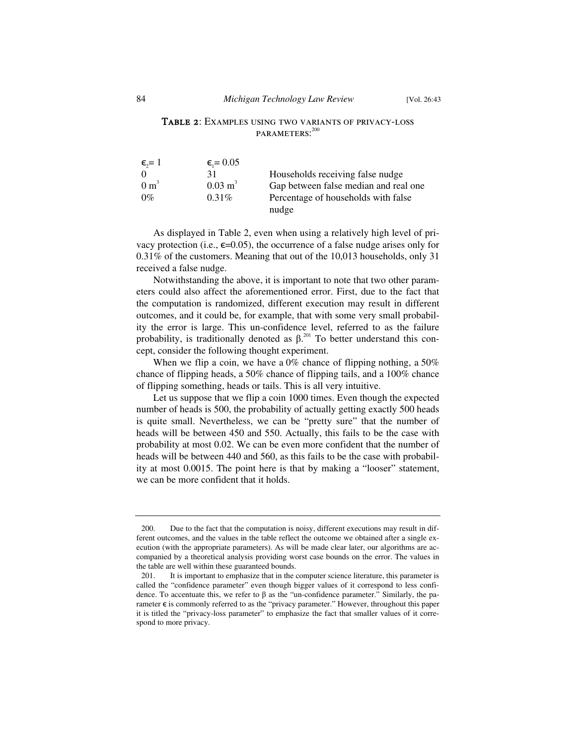# Table 2: Examples using two variants of privacy-loss PARAMETERS:<sup>200</sup>

| $\epsilon = 1$  | $\epsilon$ <sub>1</sub> = 0.05 |                                       |
|-----------------|--------------------------------|---------------------------------------|
| $\Omega$        | 31                             | Households receiving false nudge      |
| $0 \text{ m}^3$ | $0.03 \text{ m}^3$             | Gap between false median and real one |
| $0\%$           | $0.31\%$                       | Percentage of households with false   |
|                 |                                | nudge                                 |

As displayed in Table 2, even when using a relatively high level of privacy protection (i.e.,  $\epsilon$ =0.05), the occurrence of a false nudge arises only for 0.31% of the customers. Meaning that out of the 10,013 households, only 31 received a false nudge.

Notwithstanding the above, it is important to note that two other parameters could also affect the aforementioned error. First, due to the fact that the computation is randomized, different execution may result in different outcomes, and it could be, for example, that with some very small probability the error is large. This un-confidence level, referred to as the failure probability, is traditionally denoted as  $\beta$ .<sup>201</sup> To better understand this concept, consider the following thought experiment.

When we flip a coin, we have a 0% chance of flipping nothing, a 50% chance of flipping heads, a 50% chance of flipping tails, and a 100% chance of flipping something, heads or tails. This is all very intuitive.

Let us suppose that we flip a coin 1000 times. Even though the expected number of heads is 500, the probability of actually getting exactly 500 heads is quite small. Nevertheless, we can be "pretty sure" that the number of heads will be between 450 and 550. Actually, this fails to be the case with probability at most 0.02. We can be even more confident that the number of heads will be between 440 and 560, as this fails to be the case with probability at most 0.0015. The point here is that by making a "looser" statement, we can be more confident that it holds.

 <sup>200.</sup> Due to the fact that the computation is noisy, different executions may result in different outcomes, and the values in the table reflect the outcome we obtained after a single execution (with the appropriate parameters). As will be made clear later, our algorithms are accompanied by a theoretical analysis providing worst case bounds on the error. The values in the table are well within these guaranteed bounds.

 <sup>201.</sup> It is important to emphasize that in the computer science literature, this parameter is called the "confidence parameter" even though bigger values of it correspond to less confidence. To accentuate this, we refer to  $\beta$  as the "un-confidence parameter." Similarly, the parameter  $\epsilon$  is commonly referred to as the "privacy parameter." However, throughout this paper it is titled the "privacy-loss parameter" to emphasize the fact that smaller values of it correspond to more privacy.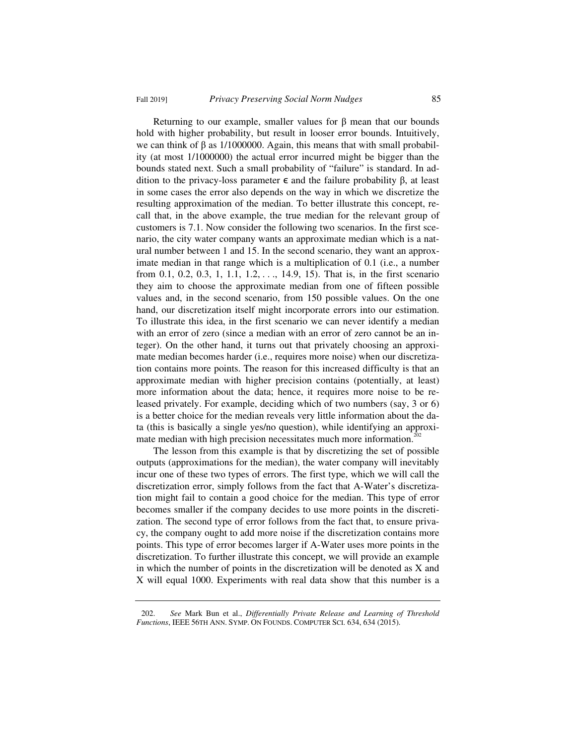Returning to our example, smaller values for  $\beta$  mean that our bounds hold with higher probability, but result in looser error bounds. Intuitively, we can think of  $\beta$  as 1/1000000. Again, this means that with small probability (at most 1/1000000) the actual error incurred might be bigger than the bounds stated next. Such a small probability of "failure" is standard. In addition to the privacy-loss parameter  $\epsilon$  and the failure probability  $\beta$ , at least in some cases the error also depends on the way in which we discretize the resulting approximation of the median. To better illustrate this concept, recall that, in the above example, the true median for the relevant group of customers is 7.1. Now consider the following two scenarios. In the first scenario, the city water company wants an approximate median which is a natural number between 1 and 15. In the second scenario, they want an approximate median in that range which is a multiplication of 0.1 (i.e., a number from 0.1, 0.2, 0.3, 1, 1.1, 1.2, . . ., 14.9, 15). That is, in the first scenario they aim to choose the approximate median from one of fifteen possible values and, in the second scenario, from 150 possible values. On the one hand, our discretization itself might incorporate errors into our estimation. To illustrate this idea, in the first scenario we can never identify a median with an error of zero (since a median with an error of zero cannot be an integer). On the other hand, it turns out that privately choosing an approximate median becomes harder (i.e., requires more noise) when our discretization contains more points. The reason for this increased difficulty is that an approximate median with higher precision contains (potentially, at least) more information about the data; hence, it requires more noise to be released privately. For example, deciding which of two numbers (say, 3 or 6) is a better choice for the median reveals very little information about the data (this is basically a single yes/no question), while identifying an approximate median with high precision necessitates much more information.<sup>2</sup>

The lesson from this example is that by discretizing the set of possible outputs (approximations for the median), the water company will inevitably incur one of these two types of errors. The first type, which we will call the discretization error, simply follows from the fact that A-Water's discretization might fail to contain a good choice for the median. This type of error becomes smaller if the company decides to use more points in the discretization. The second type of error follows from the fact that, to ensure privacy, the company ought to add more noise if the discretization contains more points. This type of error becomes larger if A-Water uses more points in the discretization. To further illustrate this concept, we will provide an example in which the number of points in the discretization will be denoted as X and X will equal 1000. Experiments with real data show that this number is a

 <sup>202.</sup> *See* Mark Bun et al., *Differentially Private Release and Learning of Threshold Functions*, IEEE 56TH ANN. SYMP. ON FOUNDS. COMPUTER SCI. 634, 634 (2015).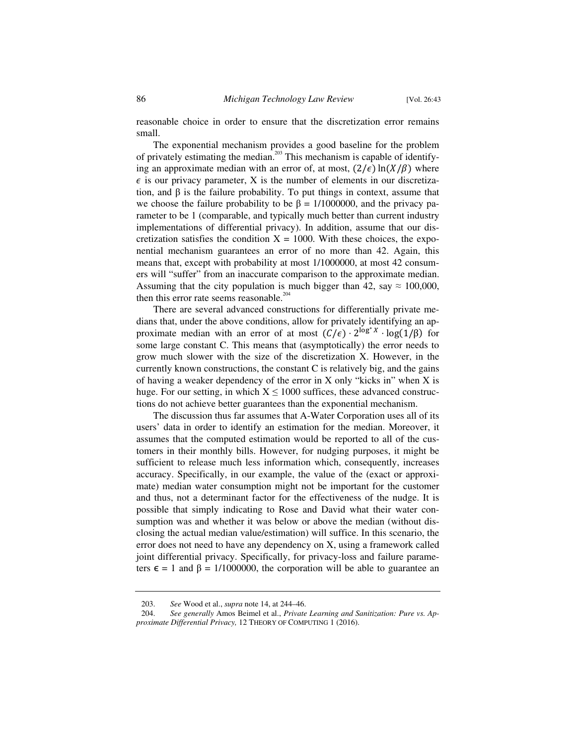reasonable choice in order to ensure that the discretization error remains small.

The exponential mechanism provides a good baseline for the problem of privately estimating the median.203 This mechanism is capable of identifying an approximate median with an error of, at most,  $(2/\epsilon) \ln(X/\beta)$  where  $\epsilon$  is our privacy parameter, X is the number of elements in our discretization, and  $\beta$  is the failure probability. To put things in context, assume that we choose the failure probability to be  $\beta = 1/1000000$ , and the privacy parameter to be 1 (comparable, and typically much better than current industry implementations of differential privacy). In addition, assume that our discretization satisfies the condition  $X = 1000$ . With these choices, the exponential mechanism guarantees an error of no more than 42. Again, this means that, except with probability at most 1/1000000, at most 42 consumers will "suffer" from an inaccurate comparison to the approximate median. Assuming that the city population is much bigger than 42, say  $\approx 100,000$ , then this error rate seems reasonable.<sup>204</sup>

There are several advanced constructions for differentially private medians that, under the above conditions, allow for privately identifying an approximate median with an error of at most  $(C/\epsilon) \cdot 2^{\log^* X} \cdot \log(1/\beta)$  for some large constant C. This means that (asymptotically) the error needs to grow much slower with the size of the discretization X. However, in the currently known constructions, the constant C is relatively big, and the gains of having a weaker dependency of the error in X only "kicks in" when X is huge. For our setting, in which  $X \le 1000$  suffices, these advanced constructions do not achieve better guarantees than the exponential mechanism.

The discussion thus far assumes that A-Water Corporation uses all of its users' data in order to identify an estimation for the median. Moreover, it assumes that the computed estimation would be reported to all of the customers in their monthly bills. However, for nudging purposes, it might be sufficient to release much less information which, consequently, increases accuracy. Specifically, in our example, the value of the (exact or approximate) median water consumption might not be important for the customer and thus, not a determinant factor for the effectiveness of the nudge. It is possible that simply indicating to Rose and David what their water consumption was and whether it was below or above the median (without disclosing the actual median value/estimation) will suffice. In this scenario, the error does not need to have any dependency on X, using a framework called joint differential privacy. Specifically, for privacy-loss and failure parameters  $\epsilon = 1$  and  $\beta = 1/1000000$ , the corporation will be able to guarantee an

 <sup>203.</sup> *See* Wood et al., *supra* note 14, at 244–46.

 <sup>204.</sup> *See generally* Amos Beimel et al., *Private Learning and Sanitization: Pure vs. Approximate Differential Privacy,* 12 THEORY OF COMPUTING 1 (2016).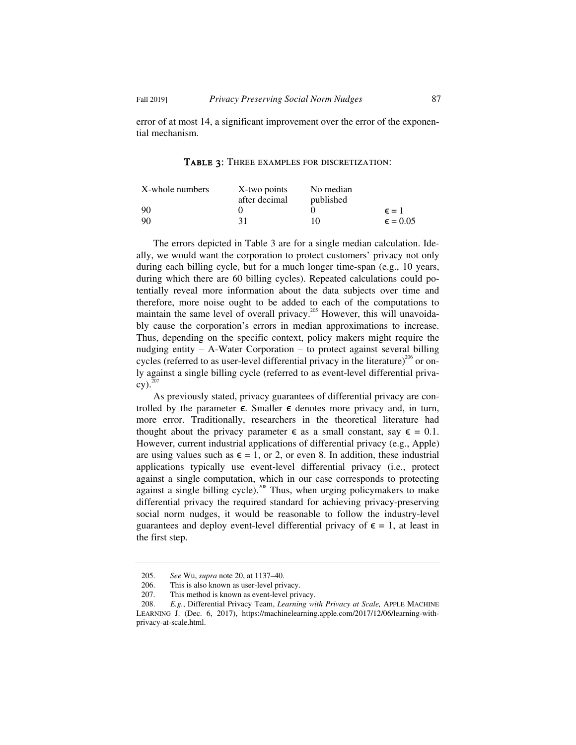error of at most 14, a significant improvement over the error of the exponential mechanism.

Table 3: Three examples for discretization:

| X-whole numbers | X-two points  | No median |                   |
|-----------------|---------------|-----------|-------------------|
|                 | after decimal | published |                   |
| -90             |               |           | $\epsilon = 1$    |
| -90             | 31            | 10.       | $\epsilon = 0.05$ |

The errors depicted in Table 3 are for a single median calculation. Ideally, we would want the corporation to protect customers' privacy not only during each billing cycle, but for a much longer time-span (e.g., 10 years, during which there are 60 billing cycles). Repeated calculations could potentially reveal more information about the data subjects over time and therefore, more noise ought to be added to each of the computations to maintain the same level of overall privacy.<sup>205</sup> However, this will unavoidably cause the corporation's errors in median approximations to increase. Thus, depending on the specific context, policy makers might require the nudging entity – A-Water Corporation – to protect against several billing cycles (referred to as user-level differential privacy in the literature)<sup>206</sup> or only against a single billing cycle (referred to as event-level differential priva- $\text{cv)}$ .<sup>20</sup>

As previously stated, privacy guarantees of differential privacy are controlled by the parameter  $\epsilon$ . Smaller  $\epsilon$  denotes more privacy and, in turn, more error. Traditionally, researchers in the theoretical literature had thought about the privacy parameter  $\epsilon$  as a small constant, say  $\epsilon = 0.1$ . However, current industrial applications of differential privacy (e.g., Apple) are using values such as  $\epsilon = 1$ , or 2, or even 8. In addition, these industrial applications typically use event-level differential privacy (i.e., protect against a single computation, which in our case corresponds to protecting against a single billing cycle).<sup>208</sup> Thus, when urging policymakers to make differential privacy the required standard for achieving privacy-preserving social norm nudges, it would be reasonable to follow the industry-level guarantees and deploy event-level differential privacy of  $\epsilon = 1$ , at least in the first step.

 <sup>205.</sup> *See* Wu, *supra* note 20, at 1137–40.

<sup>206.</sup> This is also known as user-level privacy.<br>207. This method is known as event-level privacy.

<sup>207.</sup> This method is known as event-level privacy.<br>208. E.g., Differential Privacy Team, Learning wi

 <sup>208.</sup> *E.g.*, Differential Privacy Team, *Learning with Privacy at Scale,* APPLE MACHINE LEARNING J. (Dec. 6, 2017), https://machinelearning.apple.com/2017/12/06/learning-withprivacy-at-scale.html.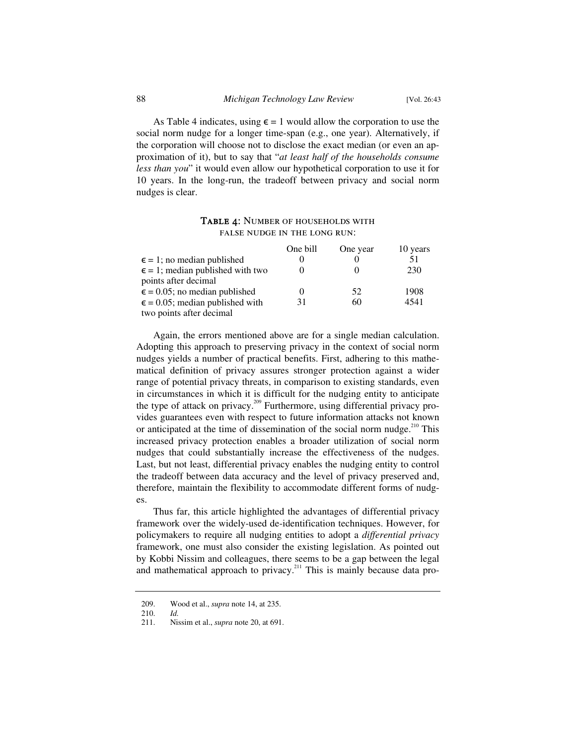As Table 4 indicates, using  $\epsilon = 1$  would allow the corporation to use the social norm nudge for a longer time-span (e.g., one year). Alternatively, if the corporation will choose not to disclose the exact median (or even an approximation of it), but to say that "*at least half of the households consume less than you*" it would even allow our hypothetical corporation to use it for 10 years. In the long-run, the tradeoff between privacy and social norm nudges is clear.

## TABLE 4: NUMBER OF HOUSEHOLDS WITH false nudge in the long run:

|                                           | One bill | One year | 10 years |
|-------------------------------------------|----------|----------|----------|
| $\epsilon = 1$ ; no median published      |          |          | 51       |
| $\epsilon$ = 1; median published with two |          |          | 230      |
| points after decimal                      |          |          |          |
| $\epsilon$ = 0.05; no median published    |          | 52       | 1908     |
| $\epsilon$ = 0.05; median published with  | 31       | 60       | 4541     |
| two points after decimal                  |          |          |          |

Again, the errors mentioned above are for a single median calculation. Adopting this approach to preserving privacy in the context of social norm nudges yields a number of practical benefits. First, adhering to this mathematical definition of privacy assures stronger protection against a wider range of potential privacy threats, in comparison to existing standards, even in circumstances in which it is difficult for the nudging entity to anticipate the type of attack on privacy.<sup>209</sup> Furthermore, using differential privacy provides guarantees even with respect to future information attacks not known or anticipated at the time of dissemination of the social norm nudge.<sup>210</sup> This increased privacy protection enables a broader utilization of social norm nudges that could substantially increase the effectiveness of the nudges. Last, but not least, differential privacy enables the nudging entity to control the tradeoff between data accuracy and the level of privacy preserved and, therefore, maintain the flexibility to accommodate different forms of nudges.

Thus far, this article highlighted the advantages of differential privacy framework over the widely-used de-identification techniques. However, for policymakers to require all nudging entities to adopt a *differential privacy*  framework, one must also consider the existing legislation. As pointed out by Kobbi Nissim and colleagues, there seems to be a gap between the legal and mathematical approach to privacy.<sup>211</sup> This is mainly because data pro-

 <sup>209.</sup> Wood et al., *supra* note 14, at 235.

 <sup>210.</sup> *Id.*

 <sup>211.</sup> Nissim et al., *supra* note 20, at 691.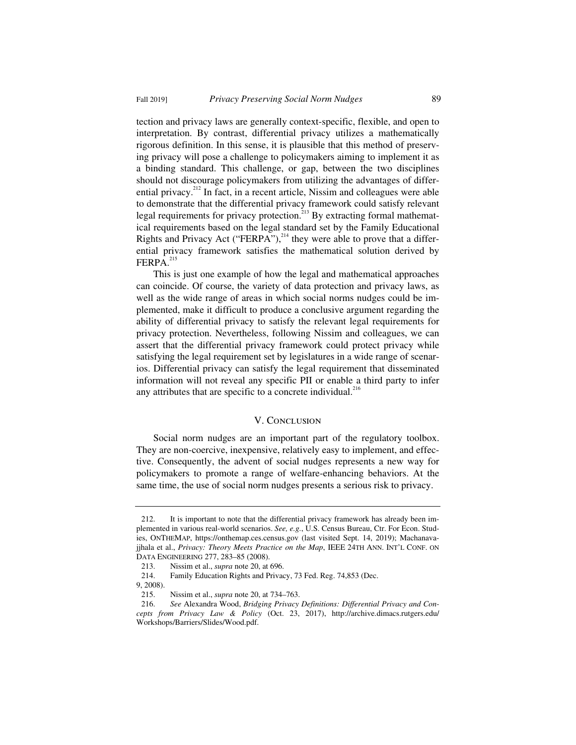Fall 2019] *Privacy Preserving Social Norm Nudges* 89

tection and privacy laws are generally context-specific, flexible, and open to interpretation. By contrast, differential privacy utilizes a mathematically rigorous definition. In this sense, it is plausible that this method of preserving privacy will pose a challenge to policymakers aiming to implement it as a binding standard. This challenge, or gap, between the two disciplines should not discourage policymakers from utilizing the advantages of differential privacy.<sup>212</sup> In fact, in a recent article, Nissim and colleagues were able to demonstrate that the differential privacy framework could satisfy relevant legal requirements for privacy protection.<sup>213</sup> By extracting formal mathematical requirements based on the legal standard set by the Family Educational Rights and Privacy Act ("FERPA"), $^{214}$  they were able to prove that a differential privacy framework satisfies the mathematical solution derived by FERPA.<sup>215</sup>

This is just one example of how the legal and mathematical approaches can coincide. Of course, the variety of data protection and privacy laws, as well as the wide range of areas in which social norms nudges could be implemented, make it difficult to produce a conclusive argument regarding the ability of differential privacy to satisfy the relevant legal requirements for privacy protection. Nevertheless, following Nissim and colleagues, we can assert that the differential privacy framework could protect privacy while satisfying the legal requirement set by legislatures in a wide range of scenarios. Differential privacy can satisfy the legal requirement that disseminated information will not reveal any specific PII or enable a third party to infer any attributes that are specific to a concrete individual. $^{216}$ 

## V. CONCLUSION

Social norm nudges are an important part of the regulatory toolbox. They are non-coercive, inexpensive, relatively easy to implement, and effective. Consequently, the advent of social nudges represents a new way for policymakers to promote a range of welfare-enhancing behaviors. At the same time, the use of social norm nudges presents a serious risk to privacy.

 <sup>212.</sup> It is important to note that the differential privacy framework has already been implemented in various real-world scenarios. *See, e.g.*, U.S. Census Bureau, Ctr. For Econ. Studies, ONTHEMAP, https://onthemap.ces.census.gov (last visited Sept. 14, 2019); Machanavajjhala et al., *Privacy: Theory Meets Practice on the Map*, IEEE 24TH ANN. INT'L CONF. ON DATA ENGINEERING 277, 283–85 (2008).

 <sup>213.</sup> Nissim et al., *supra* note 20, at 696.

 <sup>214.</sup> Family Education Rights and Privacy, 73 Fed. Reg. 74,853 (Dec.

 $9, 2008$ ).<br>215.

 <sup>215.</sup> Nissim et al., *supra* note 20, at 734–763.

 <sup>216.</sup> *See* Alexandra Wood, *Bridging Privacy Definitions: Differential Privacy and Concepts from Privacy Law & Policy* (Oct. 23, 2017), http://archive.dimacs.rutgers.edu/ Workshops/Barriers/Slides/Wood.pdf.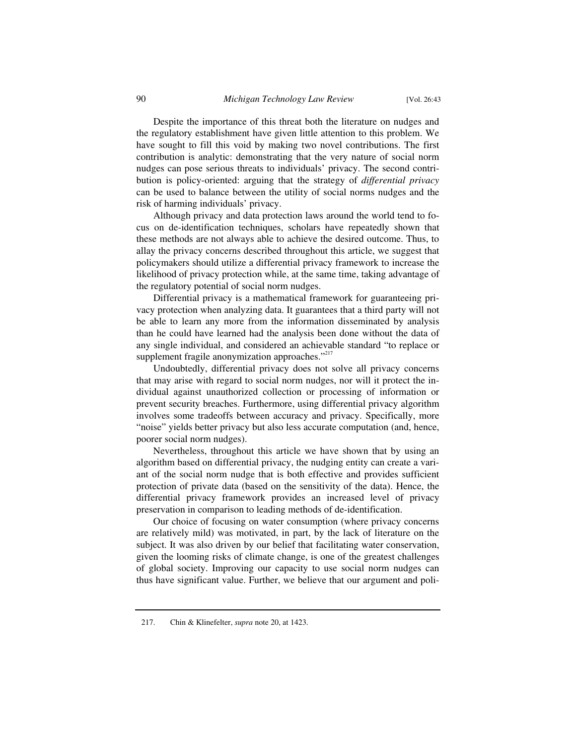Despite the importance of this threat both the literature on nudges and the regulatory establishment have given little attention to this problem. We have sought to fill this void by making two novel contributions. The first contribution is analytic: demonstrating that the very nature of social norm nudges can pose serious threats to individuals' privacy. The second contribution is policy-oriented: arguing that the strategy of *differential privacy* can be used to balance between the utility of social norms nudges and the risk of harming individuals' privacy.

Although privacy and data protection laws around the world tend to focus on de-identification techniques, scholars have repeatedly shown that these methods are not always able to achieve the desired outcome. Thus, to allay the privacy concerns described throughout this article, we suggest that policymakers should utilize a differential privacy framework to increase the likelihood of privacy protection while, at the same time, taking advantage of the regulatory potential of social norm nudges.

Differential privacy is a mathematical framework for guaranteeing privacy protection when analyzing data. It guarantees that a third party will not be able to learn any more from the information disseminated by analysis than he could have learned had the analysis been done without the data of any single individual, and considered an achievable standard "to replace or supplement fragile anonymization approaches."<sup>217</sup>

Undoubtedly, differential privacy does not solve all privacy concerns that may arise with regard to social norm nudges, nor will it protect the individual against unauthorized collection or processing of information or prevent security breaches. Furthermore, using differential privacy algorithm involves some tradeoffs between accuracy and privacy. Specifically, more "noise" yields better privacy but also less accurate computation (and, hence, poorer social norm nudges).

Nevertheless, throughout this article we have shown that by using an algorithm based on differential privacy, the nudging entity can create a variant of the social norm nudge that is both effective and provides sufficient protection of private data (based on the sensitivity of the data). Hence, the differential privacy framework provides an increased level of privacy preservation in comparison to leading methods of de-identification.

Our choice of focusing on water consumption (where privacy concerns are relatively mild) was motivated, in part, by the lack of literature on the subject. It was also driven by our belief that facilitating water conservation, given the looming risks of climate change, is one of the greatest challenges of global society. Improving our capacity to use social norm nudges can thus have significant value. Further, we believe that our argument and poli-

 <sup>217.</sup> Chin & Klinefelter, *supra* note 20, at 1423.